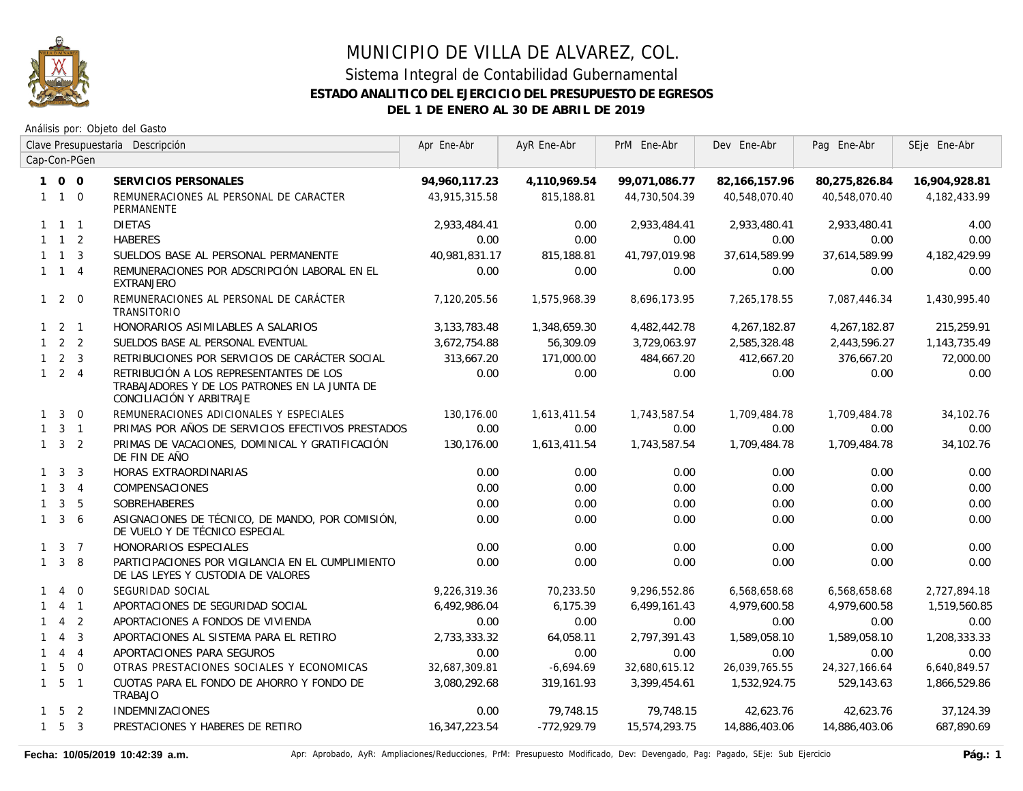

|              | Clave Presupuestaria Descripción |                |                                                                                                                      | Apr Ene-Abr     | AyR Ene-Abr   | PrM Ene-Abr   | Dev Ene-Abr      | Pag Ene-Abr   | SEje Ene-Abr  |
|--------------|----------------------------------|----------------|----------------------------------------------------------------------------------------------------------------------|-----------------|---------------|---------------|------------------|---------------|---------------|
|              |                                  | Cap-Con-PGen   |                                                                                                                      |                 |               |               |                  |               |               |
|              | 100                              |                | SERVICIOS PERSONALES                                                                                                 | 94,960,117.23   | 4,110,969.54  | 99,071,086.77 | 82, 166, 157. 96 | 80,275,826.84 | 16,904,928.81 |
|              | $1\quad1\quad0$                  |                | REMUNERACIONES AL PERSONAL DE CARACTER<br>PERMANENTE                                                                 | 43,915,315.58   | 815,188.81    | 44,730,504.39 | 40,548,070.40    | 40,548,070.40 | 4,182,433.99  |
|              | $1 \quad 1 \quad 1$              |                | <b>DIETAS</b>                                                                                                        | 2,933,484.41    | 0.00          | 2,933,484.41  | 2,933,480.41     | 2,933,480.41  | 4.00          |
|              | $1 \quad 1 \quad 2$              |                | <b>HABERES</b>                                                                                                       | 0.00            | 0.00          | 0.00          | 0.00             | 0.00          | 0.00          |
|              | $1 \quad 1 \quad 3$              |                | SUELDOS BASE AL PERSONAL PERMANENTE                                                                                  | 40,981,831.17   | 815,188.81    | 41,797,019.98 | 37,614,589.99    | 37,614,589.99 | 4,182,429.99  |
|              | $1 \quad 1 \quad 4$              |                | REMUNERACIONES POR ADSCRIPCIÓN LABORAL EN EL<br><b>EXTRANJERO</b>                                                    | 0.00            | 0.00          | 0.00          | 0.00             | 0.00          | 0.00          |
|              | $1 2 0$                          |                | REMUNERACIONES AL PERSONAL DE CARÁCTER<br><b>TRANSITORIO</b>                                                         | 7,120,205.56    | 1,575,968.39  | 8,696,173.95  | 7,265,178.55     | 7,087,446.34  | 1,430,995.40  |
|              | $1 \quad 2 \quad 1$              |                | HONORARIOS ASIMILABLES A SALARIOS                                                                                    | 3, 133, 783. 48 | 1,348,659.30  | 4,482,442.78  | 4,267,182.87     | 4,267,182.87  | 215,259.91    |
|              | $1 \quad 2 \quad 2$              |                | SUELDOS BASE AL PERSONAL EVENTUAL                                                                                    | 3,672,754.88    | 56,309.09     | 3,729,063.97  | 2,585,328.48     | 2,443,596.27  | 1,143,735.49  |
|              | $1 \quad 2 \quad 3$              |                | RETRIBUCIONES POR SERVICIOS DE CARÁCTER SOCIAL                                                                       | 313,667.20      | 171,000.00    | 484,667.20    | 412,667.20       | 376,667.20    | 72,000.00     |
|              | $1 \quad 2 \quad 4$              |                | RETRIBUCIÓN A LOS REPRESENTANTES DE LOS<br>TRABAJADORES Y DE LOS PATRONES EN LA JUNTA DE<br>CONCILIACIÓN Y ARBITRAJE | 0.00            | 0.00          | 0.00          | 0.00             | 0.00          | 0.00          |
|              | $1 \quad 3$                      | $\Omega$       | REMUNERACIONES ADICIONALES Y ESPECIALES                                                                              | 130,176.00      | 1,613,411.54  | 1,743,587.54  | 1,709,484.78     | 1,709,484.78  | 34,102.76     |
|              | $1 \quad 3 \quad 1$              |                | PRIMAS POR AÑOS DE SERVICIOS EFECTIVOS PRESTADOS                                                                     | 0.00            | 0.00          | 0.00          | 0.00             | 0.00          | 0.00          |
|              | $1 \quad 3 \quad 2$              |                | PRIMAS DE VACACIONES, DOMINICAL Y GRATIFICACIÓN<br>DE FIN DE AÑO                                                     | 130,176.00      | 1,613,411.54  | 1,743,587.54  | 1,709,484.78     | 1,709,484.78  | 34,102.76     |
|              | $1 \quad 3$                      | 3              | HORAS EXTRAORDINARIAS                                                                                                | 0.00            | 0.00          | 0.00          | 0.00             | 0.00          | 0.00          |
|              | $1 \quad 3 \quad 4$              |                | COMPENSACIONES                                                                                                       | 0.00            | 0.00          | 0.00          | 0.00             | 0.00          | 0.00          |
| $\mathbf{1}$ | $\mathbf{3}$                     | 5              | <b>SOBREHABERES</b>                                                                                                  | 0.00            | 0.00          | 0.00          | 0.00             | 0.00          | 0.00          |
| $\mathbf{1}$ | $\mathbf{3}$                     | 6              | ASIGNACIONES DE TÉCNICO, DE MANDO, POR COMISIÓN,<br>DE VUELO Y DE TÉCNICO ESPECIAL                                   | 0.00            | 0.00          | 0.00          | 0.00             | 0.00          | 0.00          |
|              | $1 \quad 3 \quad 7$              |                | HONORARIOS ESPECIALES                                                                                                | 0.00            | 0.00          | 0.00          | 0.00             | 0.00          | 0.00          |
|              | $1 \quad 3$                      | -8             | PARTICIPACIONES POR VIGILANCIA EN EL CUMPLIMIENTO<br>DE LAS LEYES Y CUSTODIA DE VALORES                              | 0.00            | 0.00          | 0.00          | 0.00             | 0.00          | 0.00          |
| $\mathbf{1}$ | $\overline{4}$                   | $\Omega$       | SEGURIDAD SOCIAL                                                                                                     | 9,226,319.36    | 70,233.50     | 9,296,552.86  | 6,568,658.68     | 6,568,658.68  | 2,727,894.18  |
|              |                                  | 4 1            | APORTACIONES DE SEGURIDAD SOCIAL                                                                                     | 6,492,986.04    | 6,175.39      | 6,499,161.43  | 4,979,600.58     | 4,979,600.58  | 1,519,560.85  |
|              | $\overline{4}$                   | 2              | APORTACIONES A FONDOS DE VIVIENDA                                                                                    | 0.00            | 0.00          | 0.00          | 0.00             | 0.00          | 0.00          |
| $\mathbf{1}$ | $\overline{4}$                   | $\overline{3}$ | APORTACIONES AL SISTEMA PARA EL RETIRO                                                                               | 2,733,333.32    | 64,058.11     | 2,797,391.43  | 1,589,058.10     | 1,589,058.10  | 1,208,333.33  |
|              | 144                              |                | APORTACIONES PARA SEGUROS                                                                                            | 0.00            | 0.00          | 0.00          | 0.00             | 0.00          | 0.00          |
| $\mathbf{1}$ | 5                                | $\overline{0}$ | OTRAS PRESTACIONES SOCIALES Y ECONOMICAS                                                                             | 32,687,309.81   | $-6,694.69$   | 32,680,615.12 | 26,039,765.55    | 24,327,166.64 | 6,640,849.57  |
|              | $1\quad 5\quad 1$                |                | CUOTAS PARA EL FONDO DE AHORRO Y FONDO DE<br><b>TRABAJO</b>                                                          | 3,080,292.68    | 319,161.93    | 3,399,454.61  | 1,532,924.75     | 529,143.63    | 1,866,529.86  |
|              | $1 \quad 5 \quad 2$              |                | <b>INDEMNIZACIONES</b>                                                                                               | 0.00            | 79,748.15     | 79,748.15     | 42,623.76        | 42,623.76     | 37,124.39     |
|              | $1\quad 5\quad 3$                |                | PRESTACIONES Y HABERES DE RETIRO                                                                                     | 16,347,223.54   | $-772,929.79$ | 15,574,293.75 | 14,886,403.06    | 14,886,403.06 | 687,890.69    |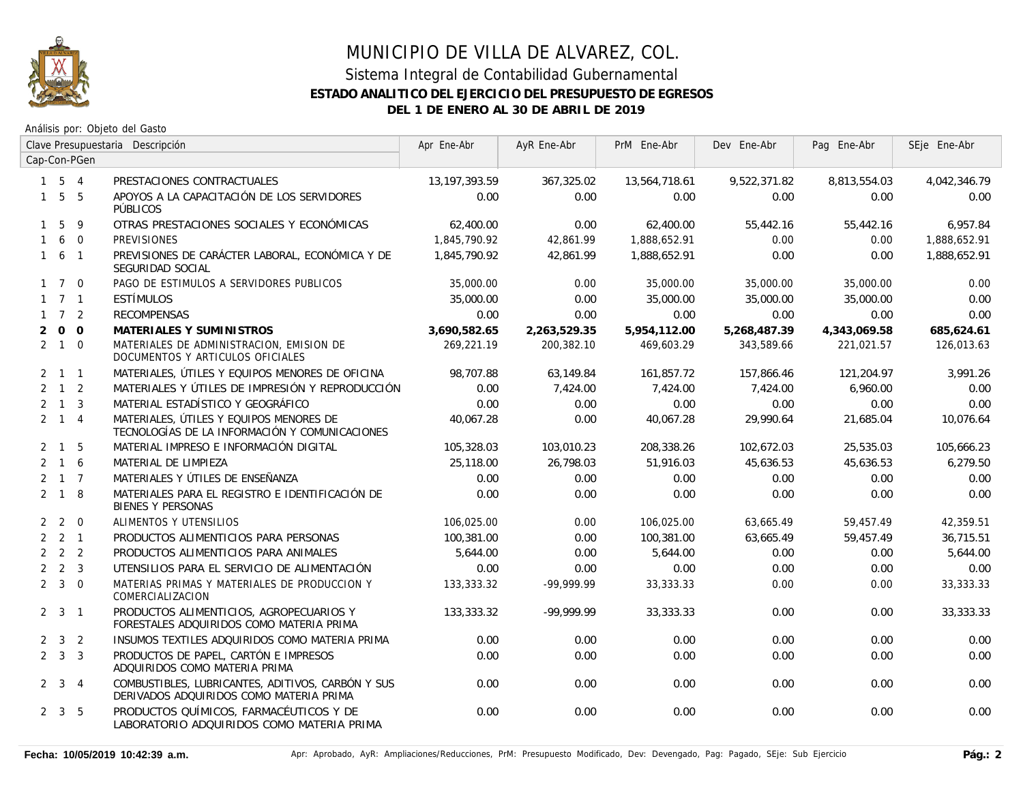

|                |                     |              | Clave Presupuestaria Descripción                                                             | Apr Ene-Abr     | AyR Ene-Abr  | PrM Ene-Abr   | Dev Ene-Abr  | Pag Ene-Abr  | SEje Ene-Abr |
|----------------|---------------------|--------------|----------------------------------------------------------------------------------------------|-----------------|--------------|---------------|--------------|--------------|--------------|
|                |                     | Cap-Con-PGen |                                                                                              |                 |              |               |              |              |              |
|                | $1\quad 5\quad 4$   |              | PRESTACIONES CONTRACTUALES                                                                   | 13, 197, 393.59 | 367,325.02   | 13,564,718.61 | 9,522,371.82 | 8,813,554.03 | 4,042,346.79 |
|                | $1\quad 5\quad 5$   |              | APOYOS A LA CAPACITACIÓN DE LOS SERVIDORES<br>PÚBLICOS                                       | 0.00            | 0.00         | 0.00          | 0.00         | 0.00         | 0.00         |
|                | 1 5                 | -9           | OTRAS PRESTACIONES SOCIALES Y ECONÓMICAS                                                     | 62,400.00       | 0.00         | 62,400.00     | 55,442.16    | 55,442.16    | 6,957.84     |
| $\mathbf{1}$   |                     | 6 0          | <b>PREVISIONES</b>                                                                           | 1,845,790.92    | 42,861.99    | 1,888,652.91  | 0.00         | 0.00         | 1,888,652.91 |
|                | $1\quad 6\quad 1$   |              | PREVISIONES DE CARÁCTER LABORAL, ECONÓMICA Y DE<br>SEGURIDAD SOCIAL                          | 1,845,790.92    | 42,861.99    | 1,888,652.91  | 0.00         | 0.00         | 1,888,652.91 |
|                | $1 \quad 7 \quad 0$ |              | PAGO DE ESTIMULOS A SERVIDORES PUBLICOS                                                      | 35,000.00       | 0.00         | 35,000.00     | 35,000.00    | 35,000.00    | 0.00         |
|                | $1 \quad 7 \quad 1$ |              | <b>ESTÍMULOS</b>                                                                             | 35,000.00       | 0.00         | 35,000.00     | 35,000.00    | 35,000.00    | 0.00         |
|                | $1 \quad 7 \quad 2$ |              | <b>RECOMPENSAS</b>                                                                           | 0.00            | 0.00         | 0.00          | 0.00         | 0.00         | 0.00         |
| $\overline{2}$ | $0\quad 0$          |              | MATERIALES Y SUMINISTROS                                                                     | 3,690,582.65    | 2,263,529.35 | 5,954,112.00  | 5,268,487.39 | 4,343,069.58 | 685,624.61   |
|                | $2 \quad 1 \quad 0$ |              | MATERIALES DE ADMINISTRACION, EMISION DE<br>DOCUMENTOS Y ARTICULOS OFICIALES                 | 269,221.19      | 200,382.10   | 469,603.29    | 343,589.66   | 221,021.57   | 126,013.63   |
|                | $2 \t1 \t1$         |              | MATERIALES, ÚTILES Y EQUIPOS MENORES DE OFICINA                                              | 98,707.88       | 63,149.84    | 161,857.72    | 157,866.46   | 121,204.97   | 3,991.26     |
|                | $2 \quad 1 \quad 2$ |              | MATERIALES Y ÚTILES DE IMPRESIÓN Y REPRODUCCIÓN                                              | 0.00            | 7.424.00     | 7.424.00      | 7.424.00     | 6,960.00     | 0.00         |
|                | $2 \quad 1 \quad 3$ |              | MATERIAL ESTADÍSTICO Y GEOGRÁFICO                                                            | 0.00            | 0.00         | 0.00          | 0.00         | 0.00         | 0.00         |
|                | $2 \quad 1 \quad 4$ |              | MATERIALES, ÚTILES Y EQUIPOS MENORES DE<br>TECNOLOGÍAS DE LA INFORMACIÓN Y COMUNICACIONES    | 40,067.28       | 0.00         | 40,067.28     | 29,990.64    | 21,685.04    | 10,076.64    |
|                | $2 \quad 1 \quad 5$ |              | MATERIAL IMPRESO E INFORMACIÓN DIGITAL                                                       | 105,328.03      | 103,010.23   | 208,338.26    | 102.672.03   | 25,535.03    | 105,666.23   |
|                | $2 \quad 1 \quad 6$ |              | MATERIAL DE LIMPIEZA                                                                         | 25,118.00       | 26,798.03    | 51.916.03     | 45,636.53    | 45,636.53    | 6,279.50     |
|                | $2 \t1 \t7$         |              | MATERIALES Y ÚTILES DE ENSEÑANZA                                                             | 0.00            | 0.00         | 0.00          | 0.00         | 0.00         | 0.00         |
|                | $2 \quad 1 \quad 8$ |              | MATERIALES PARA EL REGISTRO E IDENTIFICACIÓN DE<br><b>BIENES Y PERSONAS</b>                  | 0.00            | 0.00         | 0.00          | 0.00         | 0.00         | 0.00         |
|                | $2 \quad 2 \quad 0$ |              | ALIMENTOS Y UTENSILIOS                                                                       | 106,025.00      | 0.00         | 106,025.00    | 63,665.49    | 59,457.49    | 42,359.51    |
|                | $2 \quad 2 \quad 1$ |              | PRODUCTOS ALIMENTICIOS PARA PERSONAS                                                         | 100,381.00      | 0.00         | 100,381.00    | 63,665.49    | 59,457.49    | 36,715.51    |
|                | $2 \quad 2 \quad 2$ |              | PRODUCTOS ALIMENTICIOS PARA ANIMALES                                                         | 5,644.00        | 0.00         | 5,644.00      | 0.00         | 0.00         | 5,644.00     |
|                | $2 \quad 2 \quad 3$ |              | UTENSILIOS PARA EL SERVICIO DE ALIMENTACIÓN                                                  | 0.00            | 0.00         | 0.00          | 0.00         | 0.00         | 0.00         |
|                | $2 \quad 3 \quad 0$ |              | MATERIAS PRIMAS Y MATERIALES DE PRODUCCION Y<br>COMERCIALIZACION                             | 133,333.32      | $-99.999.99$ | 33,333.33     | 0.00         | 0.00         | 33,333.33    |
|                | $2 \quad 3 \quad 1$ |              | PRODUCTOS ALIMENTICIOS, AGROPECUARIOS Y<br>FORESTALES ADQUIRIDOS COMO MATERIA PRIMA          | 133,333.32      | $-99,999.99$ | 33, 333. 33   | 0.00         | 0.00         | 33, 333. 33  |
|                | $2 \quad 3 \quad 2$ |              | INSUMOS TEXTILES ADQUIRIDOS COMO MATERIA PRIMA                                               | 0.00            | 0.00         | 0.00          | 0.00         | 0.00         | 0.00         |
|                | $2 \quad 3 \quad 3$ |              | PRODUCTOS DE PAPEL, CARTÓN E IMPRESOS<br>ADQUIRIDOS COMO MATERIA PRIMA                       | 0.00            | 0.00         | 0.00          | 0.00         | 0.00         | 0.00         |
|                | $2 \quad 3 \quad 4$ |              | COMBUSTIBLES, LUBRICANTES, ADITIVOS, CARBÓN Y SUS<br>DERIVADOS ADQUIRIDOS COMO MATERIA PRIMA | 0.00            | 0.00         | 0.00          | 0.00         | 0.00         | 0.00         |
|                | $2 \quad 3 \quad 5$ |              | PRODUCTOS QUÍMICOS, FARMACÉUTICOS Y DE<br>LABORATORIO ADQUIRIDOS COMO MATERIA PRIMA          | 0.00            | 0.00         | 0.00          | 0.00         | 0.00         | 0.00         |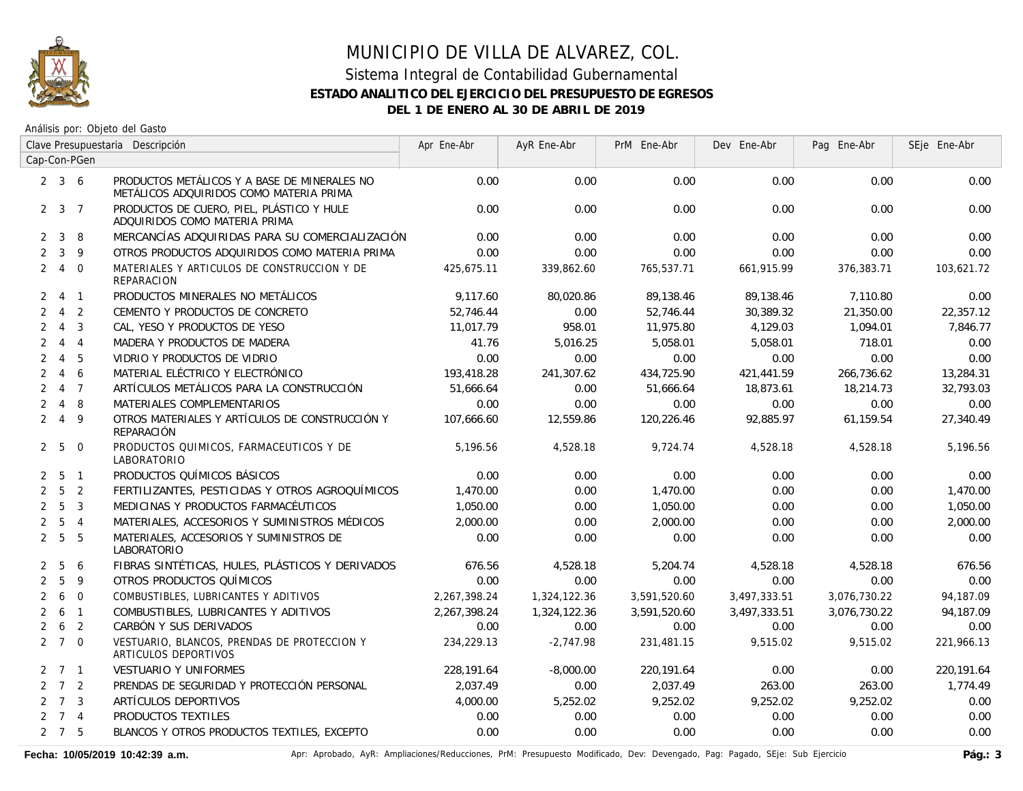

Análisis por: Objeto del Gasto

|                |                     |                         | Clave Presupuestaria Descripción                                                        | Apr Ene-Abr  | AyR Ene-Abr  | PrM Ene-Abr  | Dev Ene-Abr  | Pag Ene-Abr  | SEje Ene-Abr |
|----------------|---------------------|-------------------------|-----------------------------------------------------------------------------------------|--------------|--------------|--------------|--------------|--------------|--------------|
|                |                     | Cap-Con-PGen            |                                                                                         |              |              |              |              |              |              |
|                | $2 \quad 3 \quad 6$ |                         | PRODUCTOS METÁLICOS Y A BASE DE MINERALES NO<br>METÁLICOS ADQUIRIDOS COMO MATERIA PRIMA | 0.00         | 0.00         | 0.00         | 0.00         | 0.00         | 0.00         |
|                | $2 \t3 \t7$         |                         | PRODUCTOS DE CUERO, PIEL, PLÁSTICO Y HULE<br>ADQUIRIDOS COMO MATERIA PRIMA              | 0.00         | 0.00         | 0.00         | 0.00         | 0.00         | 0.00         |
| $\mathbf{2}$   | $\mathbf{3}$        | -8                      | MERCANCÍAS ADQUIRIDAS PARA SU COMERCIALIZACIÓN                                          | 0.00         | 0.00         | 0.00         | 0.00         | 0.00         | 0.00         |
| $\overline{2}$ | $\mathbf{3}$        | 9                       | OTROS PRODUCTOS ADQUIRIDOS COMO MATERIA PRIMA                                           | 0.00         | 0.00         | 0.00         | 0.00         | 0.00         | 0.00         |
|                | 240                 |                         | MATERIALES Y ARTICULOS DE CONSTRUCCION Y DE<br><b>REPARACION</b>                        | 425.675.11   | 339,862.60   | 765,537.71   | 661,915.99   | 376,383.71   | 103,621.72   |
|                | $2 \t 4 \t 1$       |                         | PRODUCTOS MINERALES NO METÁLICOS                                                        | 9,117.60     | 80,020.86    | 89,138.46    | 89,138.46    | 7,110.80     | 0.00         |
| $\overline{2}$ | $\overline{4}$      | $\overline{2}$          | CEMENTO Y PRODUCTOS DE CONCRETO                                                         | 52,746.44    | 0.00         | 52,746.44    | 30,389.32    | 21,350.00    | 22,357.12    |
| $\overline{2}$ | $\overline{4}$      | $\overline{\mathbf{3}}$ | CAL, YESO Y PRODUCTOS DE YESO                                                           | 11,017.79    | 958.01       | 11,975.80    | 4,129.03     | 1,094.01     | 7,846.77     |
| $\overline{2}$ | $\overline{4}$      | $\overline{4}$          | MADERA Y PRODUCTOS DE MADERA                                                            | 41.76        | 5,016.25     | 5,058.01     | 5,058.01     | 718.01       | 0.00         |
| $\overline{2}$ |                     | $4\quad 5$              | VIDRIO Y PRODUCTOS DE VIDRIO                                                            | 0.00         | 0.00         | 0.00         | 0.00         | 0.00         | 0.00         |
| $\overline{2}$ | $\overline{4}$      | 6                       | MATERIAL ELÉCTRICO Y ELECTRÓNICO                                                        | 193,418.28   | 241,307.62   | 434,725.90   | 421,441.59   | 266,736.62   | 13,284.31    |
| $\overline{2}$ |                     | 4 <sub>7</sub>          | ARTÍCULOS METÁLICOS PARA LA CONSTRUCCIÓN                                                | 51,666.64    | 0.00         | 51,666.64    | 18,873.61    | 18,214.73    | 32,793.03    |
|                | 248                 |                         | MATERIALES COMPLEMENTARIOS                                                              | 0.00         | 0.00         | 0.00         | 0.00         | 0.00         | 0.00         |
|                | 249                 |                         | OTROS MATERIALES Y ARTÍCULOS DE CONSTRUCCIÓN Y<br>REPARACIÓN                            | 107,666.60   | 12,559.86    | 120,226.46   | 92,885.97    | 61,159.54    | 27,340.49    |
|                | 2 <sub>5</sub>      | $\overline{0}$          | PRODUCTOS QUIMICOS, FARMACEUTICOS Y DE<br>LABORATORIO                                   | 5,196.56     | 4,528.18     | 9,724.74     | 4,528.18     | 4,528.18     | 5,196.56     |
|                | $2\quad 5\quad 1$   |                         | PRODUCTOS QUÍMICOS BÁSICOS                                                              | 0.00         | 0.00         | 0.00         | 0.00         | 0.00         | 0.00         |
|                | 2 <sub>5</sub>      | $\overline{2}$          | FERTILIZANTES, PESTICIDAS Y OTROS AGROQUÍMICOS                                          | 1,470.00     | 0.00         | 1,470.00     | 0.00         | 0.00         | 1,470.00     |
|                | 2 <sub>5</sub>      | $\overline{3}$          | MEDICINAS Y PRODUCTOS FARMACÉUTICOS                                                     | 1,050.00     | 0.00         | 1,050.00     | 0.00         | 0.00         | 1,050.00     |
|                | 2 <sub>5</sub>      | $\overline{4}$          | MATERIALES, ACCESORIOS Y SUMINISTROS MÉDICOS                                            | 2,000.00     | 0.00         | 2,000.00     | 0.00         | 0.00         | 2,000.00     |
|                | 2 <sub>5</sub>      | $-5$                    | MATERIALES, ACCESORIOS Y SUMINISTROS DE<br>LABORATORIO                                  | 0.00         | 0.00         | 0.00         | 0.00         | 0.00         | 0.00         |
|                | 2 <sub>5</sub>      | -6                      | FIBRAS SINTÉTICAS, HULES, PLÁSTICOS Y DERIVADOS                                         | 676.56       | 4,528.18     | 5,204.74     | 4,528.18     | 4,528.18     | 676.56       |
| $\overline{2}$ | 5                   | 9                       | OTROS PRODUCTOS QUÍMICOS                                                                | 0.00         | 0.00         | 0.00         | 0.00         | 0.00         | 0.00         |
| $\overline{2}$ | 6                   | $\overline{0}$          | COMBUSTIBLES, LUBRICANTES Y ADITIVOS                                                    | 2,267,398.24 | 1,324,122.36 | 3,591,520.60 | 3,497,333.51 | 3,076,730.22 | 94,187.09    |
| $\overline{2}$ | 6                   | $\overline{1}$          | COMBUSTIBLES, LUBRICANTES Y ADITIVOS                                                    | 2,267,398.24 | 1,324,122.36 | 3,591,520.60 | 3,497,333.51 | 3,076,730.22 | 94.187.09    |
|                | $2\quad 6\quad 2$   |                         | CARBÓN Y SUS DERIVADOS                                                                  | 0.00         | 0.00         | 0.00         | 0.00         | 0.00         | 0.00         |
|                | $2 \t7 \t0$         |                         | VESTUARIO, BLANCOS, PRENDAS DE PROTECCION Y<br>ARTICULOS DEPORTIVOS                     | 234,229.13   | $-2,747.98$  | 231,481.15   | 9,515.02     | 9,515.02     | 221,966.13   |
|                | $2 \quad 7 \quad 1$ |                         | <b>VESTUARIO Y UNIFORMES</b>                                                            | 228,191.64   | $-8,000.00$  | 220,191.64   | 0.00         | 0.00         | 220,191.64   |
|                | $2 \quad 7 \quad 2$ |                         | PRENDAS DE SEGURIDAD Y PROTECCIÓN PERSONAL                                              | 2,037.49     | 0.00         | 2,037.49     | 263.00       | 263.00       | 1,774.49     |
|                | $2 \quad 7 \quad 3$ |                         | ARTÍCULOS DEPORTIVOS                                                                    | 4,000.00     | 5,252.02     | 9,252.02     | 9,252.02     | 9,252.02     | 0.00         |
|                | $2 \t 7 \t 4$       |                         | PRODUCTOS TEXTILES                                                                      | 0.00         | 0.00         | 0.00         | 0.00         | 0.00         | 0.00         |
|                | $2 \quad 7 \quad 5$ |                         | BLANCOS Y OTROS PRODUCTOS TEXTILES, EXCEPTO                                             | 0.00         | 0.00         | 0.00         | 0.00         | 0.00         | 0.00         |

Fecha: 10/05/2019 10:42:39 a.m. **Aprical Access** Aprical AyR: Ampliaciones/Reducciones, PrM: Presupuesto Modificado, Dev: Devengado, Pag: Pagado, SEje: Sub Ejercicio Pág.: 3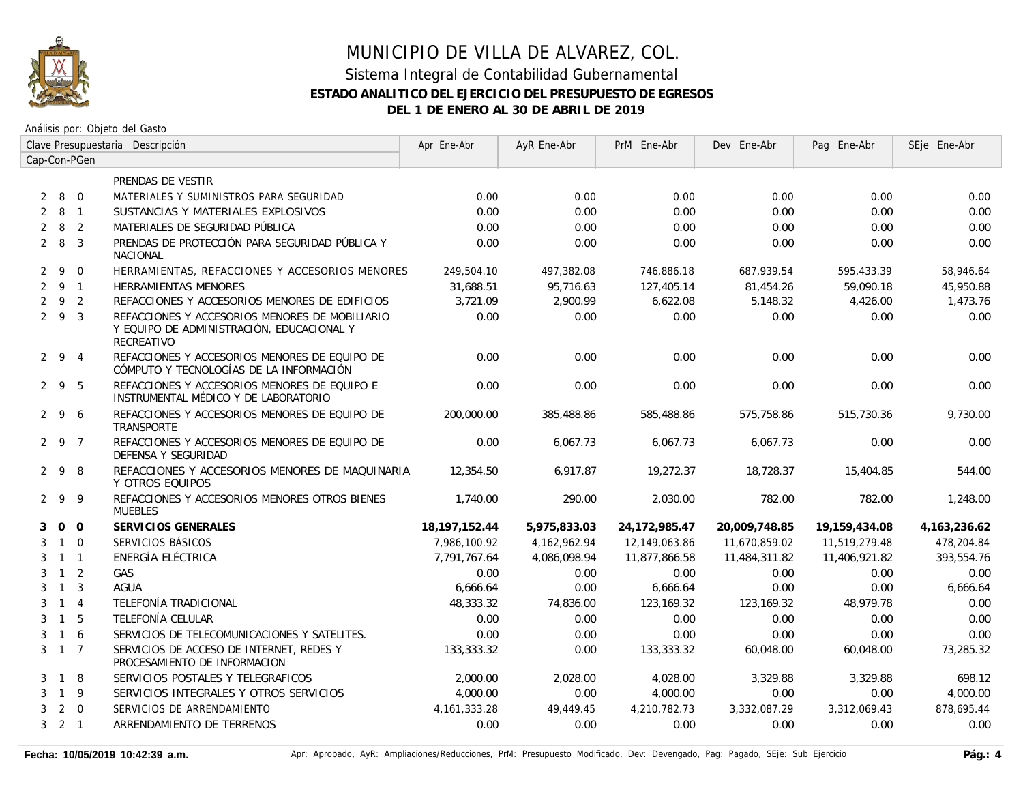

Análisis por: Objeto del Gasto

|                | Clave Presupuestaria Descripción |                |                                                                                                           | Apr Ene-Abr     | AyR Ene-Abr  | PrM Ene-Abr   | Dev Ene-Abr   | Pag Ene-Abr   | SEje Ene-Abr    |
|----------------|----------------------------------|----------------|-----------------------------------------------------------------------------------------------------------|-----------------|--------------|---------------|---------------|---------------|-----------------|
|                |                                  | Cap-Con-PGen   |                                                                                                           |                 |              |               |               |               |                 |
|                |                                  |                | PRENDAS DE VESTIR                                                                                         |                 |              |               |               |               |                 |
| 2              |                                  | 8 0            | MATERIALES Y SUMINISTROS PARA SEGURIDAD                                                                   | 0.00            | 0.00         | 0.00          | 0.00          | 0.00          | 0.00            |
| 2              | 8                                | $\overline{1}$ | SUSTANCIAS Y MATERIALES EXPLOSIVOS                                                                        | 0.00            | 0.00         | 0.00          | 0.00          | 0.00          | 0.00            |
| $\overline{2}$ | 8                                | $\overline{2}$ | MATERIALES DE SEGURIDAD PÚBLICA                                                                           | 0.00            | 0.00         | 0.00          | 0.00          | 0.00          | 0.00            |
|                | $2 \quad 8$                      | $\overline{3}$ | PRENDAS DE PROTECCIÓN PARA SEGURIDAD PÚBLICA Y<br><b>NACIONAL</b>                                         | 0.00            | 0.00         | 0.00          | 0.00          | 0.00          | 0.00            |
| 2              | 9                                | $\Omega$       | HERRAMIENTAS, REFACCIONES Y ACCESORIOS MENORES                                                            | 249,504.10      | 497,382.08   | 746,886.18    | 687,939.54    | 595,433.39    | 58,946.64       |
|                | 291                              |                | <b>HERRAMIENTAS MENORES</b>                                                                               | 31,688.51       | 95,716.63    | 127,405.14    | 81,454.26     | 59,090.18     | 45,950.88       |
| $\overline{2}$ | 9 2                              |                | REFACCIONES Y ACCESORIOS MENORES DE EDIFICIOS                                                             | 3,721.09        | 2,900.99     | 6,622.08      | 5,148.32      | 4,426.00      | 1,473.76        |
|                | 293                              |                | REFACCIONES Y ACCESORIOS MENORES DE MOBILIARIO<br>Y EQUIPO DE ADMINISTRACIÓN, EDUCACIONAL Y<br>RECREATIVO | 0.00            | 0.00         | 0.00          | 0.00          | 0.00          | 0.00            |
|                | 294                              |                | REFACCIONES Y ACCESORIOS MENORES DE EQUIPO DE<br>CÓMPUTO Y TECNOLOGÍAS DE LA INFORMACIÓN                  | 0.00            | 0.00         | 0.00          | 0.00          | 0.00          | 0.00            |
|                | 295                              |                | REFACCIONES Y ACCESORIOS MENORES DE EQUIPO E<br>INSTRUMENTAL MÉDICO Y DE LABORATORIO                      | 0.00            | 0.00         | 0.00          | 0.00          | 0.00          | 0.00            |
|                | $2 \quad 9 \quad 6$              |                | REFACCIONES Y ACCESORIOS MENORES DE EQUIPO DE<br>TRANSPORTE                                               | 200,000.00      | 385,488.86   | 585,488.86    | 575,758.86    | 515,730.36    | 9,730.00        |
|                | 297                              |                | REFACCIONES Y ACCESORIOS MENORES DE EQUIPO DE<br>DEFENSA Y SEGURIDAD                                      | 0.00            | 6,067.73     | 6,067.73      | 6,067.73      | 0.00          | 0.00            |
|                | 298                              |                | REFACCIONES Y ACCESORIOS MENORES DE MAQUINARIA<br>Y OTROS EQUIPOS                                         | 12,354.50       | 6,917.87     | 19,272.37     | 18,728.37     | 15,404.85     | 544.00          |
|                | 299                              |                | REFACCIONES Y ACCESORIOS MENORES OTROS BIENES<br><b>MUEBLES</b>                                           | 1,740.00        | 290.00       | 2,030.00      | 782.00        | 782.00        | 1,248.00        |
| 3              |                                  | $0\quad 0$     | SERVICIOS GENERALES                                                                                       | 18, 197, 152.44 | 5,975,833.03 | 24,172,985.47 | 20,009,748.85 | 19,159,434.08 | 4, 163, 236. 62 |
| 3              | $1 \quad 0$                      |                | SERVICIOS BÁSICOS                                                                                         | 7,986,100.92    | 4,162,962.94 | 12,149,063.86 | 11,670,859.02 | 11,519,279.48 | 478,204.84      |
| 3              | $1 \quad 1$                      |                | ENERGÍA ELÉCTRICA                                                                                         | 7.791.767.64    | 4,086,098.94 | 11,877,866.58 | 11,484,311.82 | 11,406,921.82 | 393,554.76      |
| 3              | $1\quad 2$                       |                | GAS                                                                                                       | 0.00            | 0.00         | 0.00          | 0.00          | 0.00          | 0.00            |
| 3              | $\overline{1}$                   | $\overline{3}$ | <b>AGUA</b>                                                                                               | 6,666.64        | 0.00         | 6,666.64      | 0.00          | 0.00          | 6,666.64        |
| 3              | $1 \quad 4$                      |                | TELEFONÍA TRADICIONAL                                                                                     | 48,333.32       | 74,836.00    | 123,169.32    | 123,169.32    | 48,979.78     | 0.00            |
| 3              | $\overline{1}$                   | 5              | TELEFONÍA CELULAR                                                                                         | 0.00            | 0.00         | 0.00          | 0.00          | 0.00          | 0.00            |
| 3              | $1\quad6$                        |                | SERVICIOS DE TELECOMUNICACIONES Y SATELITES.                                                              | 0.00            | 0.00         | 0.00          | 0.00          | 0.00          | 0.00            |
|                | $3 \t1 \t7$                      |                | SERVICIOS DE ACCESO DE INTERNET. REDES Y<br>PROCESAMIENTO DE INFORMACION                                  | 133,333.32      | 0.00         | 133,333,32    | 60.048.00     | 60.048.00     | 73.285.32       |
| 3              | 1 8                              |                | SERVICIOS POSTALES Y TELEGRAFICOS                                                                         | 2,000.00        | 2,028.00     | 4,028.00      | 3,329.88      | 3.329.88      | 698.12          |
| 3              | $1 \quad 9$                      |                | SERVICIOS INTEGRALES Y OTROS SERVICIOS                                                                    | 4,000.00        | 0.00         | 4,000.00      | 0.00          | 0.00          | 4,000.00        |
| 3              | $\overline{2}$                   | $\overline{0}$ | SERVICIOS DE ARRENDAMIENTO                                                                                | 4, 161, 333. 28 | 49,449.45    | 4,210,782.73  | 3,332,087.29  | 3,312,069.43  | 878,695.44      |
|                | $3 \quad 2 \quad 1$              |                | ARRENDAMIENTO DE TERRENOS                                                                                 | 0.00            | 0.00         | 0.00          | 0.00          | 0.00          | 0.00            |

Fecha: 10/05/2019 10:42:39 a.m. **Aprical Page: Aprobado, AyR: Ampliaciones/Reducciones, PrM: Presupuesto Modificado, Dev: Devengado, Pag: Pagado, SEje: Sub Ejercicio Pág.: 4**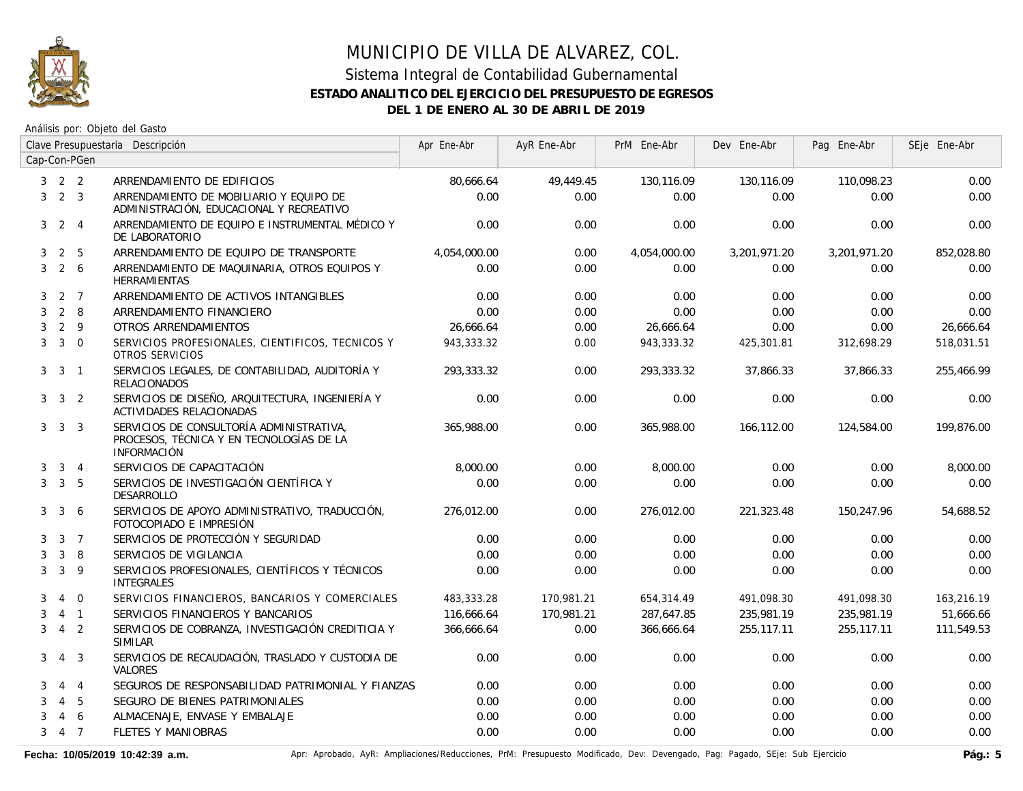

#### Sistema Integral de Contabilidad Gubernamental **ESTADO ANALITICO DEL EJERCICIO DEL PRESUPUESTO DE EGRESOS DEL 1 DE ENERO AL 30 DE ABRIL DE 2019**

Análisis por: Objeto del Gasto

|   |                     |                | Clave Presupuestaria Descripción                                                                           | Apr Ene-Abr  | AyR Ene-Abr | PrM Ene-Abr  | Dev Ene-Abr  | Pag Ene-Abr  | SEje Ene-Abr |
|---|---------------------|----------------|------------------------------------------------------------------------------------------------------------|--------------|-------------|--------------|--------------|--------------|--------------|
|   |                     | Cap-Con-PGen   |                                                                                                            |              |             |              |              |              |              |
|   | $3 \quad 2 \quad 2$ |                | ARRENDAMIENTO DE EDIFICIOS                                                                                 | 80,666.64    | 49,449.45   | 130,116.09   | 130,116.09   | 110,098.23   | 0.00         |
| 3 | 2 <sup>3</sup>      |                | ARRENDAMIENTO DE MOBILIARIO Y EQUIPO DE<br>ADMINISTRACIÓN, EDUCACIONAL Y RECREATIVO                        | 0.00         | 0.00        | 0.00         | 0.00         | 0.00         | 0.00         |
| 3 |                     | $2 \quad 4$    | ARRENDAMIENTO DE EQUIPO E INSTRUMENTAL MÉDICO Y<br>DE LABORATORIO                                          | 0.00         | 0.00        | 0.00         | 0.00         | 0.00         | 0.00         |
| 3 | $\overline{2}$      | 5              | ARRENDAMIENTO DE EQUIPO DE TRANSPORTE                                                                      | 4,054,000.00 | 0.00        | 4,054,000.00 | 3,201,971.20 | 3,201,971.20 | 852,028.80   |
| 3 | $2\overline{6}$     |                | ARRENDAMIENTO DE MAQUINARIA, OTROS EQUIPOS Y<br><b>HERRAMIENTAS</b>                                        | 0.00         | 0.00        | 0.00         | 0.00         | 0.00         | 0.00         |
| 3 |                     | 2 7            | ARRENDAMIENTO DE ACTIVOS INTANGIBLES                                                                       | 0.00         | 0.00        | 0.00         | 0.00         | 0.00         | 0.00         |
| 3 |                     | $2 \quad 8$    | ARRENDAMIENTO FINANCIERO                                                                                   | 0.00         | 0.00        | 0.00         | 0.00         | 0.00         | 0.00         |
| 3 |                     | $2 \quad 9$    | OTROS ARRENDAMIENTOS                                                                                       | 26,666.64    | 0.00        | 26,666.64    | 0.00         | 0.00         | 26,666.64    |
| 3 |                     | $3 \quad 0$    | SERVICIOS PROFESIONALES, CIENTIFICOS, TECNICOS Y<br>OTROS SERVICIOS                                        | 943,333.32   | 0.00        | 943,333.32   | 425,301.81   | 312,698.29   | 518,031.51   |
| 3 | 3                   | $\overline{1}$ | SERVICIOS LEGALES, DE CONTABILIDAD, AUDITORÍA Y<br><b>RELACIONADOS</b>                                     | 293.333.32   | 0.00        | 293,333.32   | 37,866.33    | 37.866.33    | 255,466.99   |
|   | $3 \quad 3 \quad 2$ |                | SERVICIOS DE DISEÑO, ARQUITECTURA, INGENIERÍA Y<br>ACTIVIDADES RELACIONADAS                                | 0.00         | 0.00        | 0.00         | 0.00         | 0.00         | 0.00         |
|   | $3 \quad 3 \quad 3$ |                | SERVICIOS DE CONSULTORÍA ADMINISTRATIVA,<br>PROCESOS, TÉCNICA Y EN TECNOLOGÍAS DE LA<br><b>INFORMACIÓN</b> | 365,988.00   | 0.00        | 365,988.00   | 166,112.00   | 124,584.00   | 199.876.00   |
| 3 |                     | $3 \quad 4$    | SERVICIOS DE CAPACITACIÓN                                                                                  | 8,000.00     | 0.00        | 8,000.00     | 0.00         | 0.00         | 8,000.00     |
| 3 |                     | 3 <sub>5</sub> | SERVICIOS DE INVESTIGACIÓN CIENTÍFICA Y<br><b>DESARROLLO</b>                                               | 0.00         | 0.00        | 0.00         | 0.00         | 0.00         | 0.00         |
| 3 | $\mathbf{3}$        | 6              | SERVICIOS DE APOYO ADMINISTRATIVO, TRADUCCIÓN,<br>FOTOCOPIADO E IMPRESIÓN                                  | 276,012.00   | 0.00        | 276,012.00   | 221,323.48   | 150,247.96   | 54,688.52    |
| 3 |                     | 3 <sub>7</sub> | SERVICIOS DE PROTECCIÓN Y SEGURIDAD                                                                        | 0.00         | 0.00        | 0.00         | 0.00         | 0.00         | 0.00         |
| 3 | 3                   | 8              | SERVICIOS DE VIGILANCIA                                                                                    | 0.00         | 0.00        | 0.00         | 0.00         | 0.00         | 0.00         |
| 3 | 3                   | - 9            | SERVICIOS PROFESIONALES, CIENTÍFICOS Y TÉCNICOS<br><b>INTEGRALES</b>                                       | 0.00         | 0.00        | 0.00         | 0.00         | 0.00         | 0.00         |
| 3 | $\overline{4}$      | $\overline{0}$ | SERVICIOS FINANCIEROS, BANCARIOS Y COMERCIALES                                                             | 483,333.28   | 170,981.21  | 654,314.49   | 491,098.30   | 491,098.30   | 163,216.19   |
| 3 |                     | $4 \quad 1$    | SERVICIOS FINANCIEROS Y BANCARIOS                                                                          | 116,666.64   | 170,981.21  | 287,647.85   | 235,981.19   | 235,981.19   | 51,666.66    |
| 3 |                     | 4 <sub>2</sub> | SERVICIOS DE COBRANZA, INVESTIGACIÓN CREDITICIA Y<br><b>SIMILAR</b>                                        | 366,666.64   | 0.00        | 366,666.64   | 255,117.11   | 255,117.11   | 111,549.53   |
| 3 |                     | 4 3            | SERVICIOS DE RECAUDACIÓN, TRASLADO Y CUSTODIA DE<br><b>VALORES</b>                                         | 0.00         | 0.00        | 0.00         | 0.00         | 0.00         | 0.00         |
| 3 |                     | $4 \quad 4$    | SEGUROS DE RESPONSABILIDAD PATRIMONIAL Y FIANZAS                                                           | 0.00         | 0.00        | 0.00         | 0.00         | 0.00         | 0.00         |
| 3 | $\overline{4}$      | 5              | SEGURO DE BIENES PATRIMONIALES                                                                             | 0.00         | 0.00        | 0.00         | 0.00         | 0.00         | 0.00         |
| 3 | 4                   | 6              | ALMACENAJE, ENVASE Y EMBALAJE                                                                              | 0.00         | 0.00        | 0.00         | 0.00         | 0.00         | 0.00         |
| 3 |                     | 4 7            | <b>FLETES Y MANIOBRAS</b>                                                                                  | 0.00         | 0.00        | 0.00         | 0.00         | 0.00         | 0.00         |

Fecha: 10/05/2019 10:42:39 a.m. **Aprical Access** Aprical AyR: Ampliaciones/Reducciones, PrM: Presupuesto Modificado, Dev: Devengado, Pag: Pagado, SEje: Sub Ejercicio Pág.: 5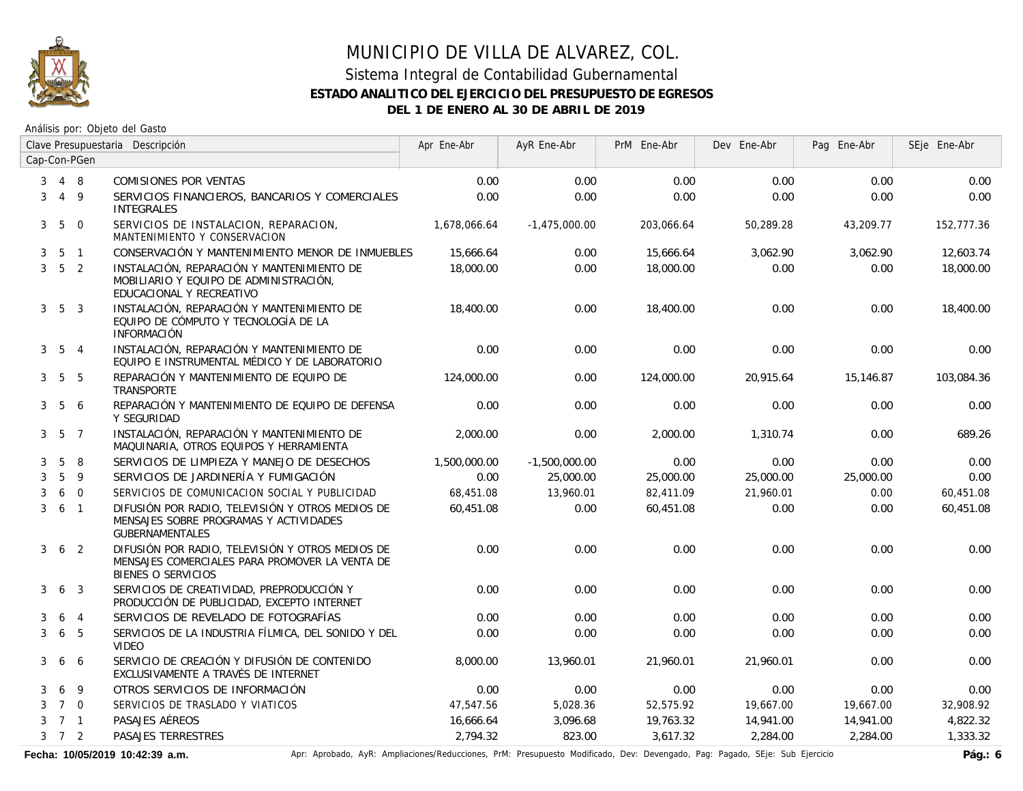

#### Sistema Integral de Contabilidad Gubernamental **ESTADO ANALITICO DEL EJERCICIO DEL PRESUPUESTO DE EGRESOS DEL 1 DE ENERO AL 30 DE ABRIL DE 2019**

Análisis por: Objeto del Gasto

|                | Clave Presupuestaria Descripción |                |                                                                                                                          | Apr Ene-Abr  | AyR Ene-Abr     | PrM Ene-Abr | Dev Ene-Abr | Pag Ene-Abr | SEje Ene-Abr |
|----------------|----------------------------------|----------------|--------------------------------------------------------------------------------------------------------------------------|--------------|-----------------|-------------|-------------|-------------|--------------|
|                |                                  | Cap-Con-PGen   |                                                                                                                          |              |                 |             |             |             |              |
| 3              |                                  | 4 8            | COMISIONES POR VENTAS                                                                                                    | 0.00         | 0.00            | 0.00        | 0.00        | 0.00        | 0.00         |
| 3              |                                  | 4 9            | SERVICIOS FINANCIEROS, BANCARIOS Y COMERCIALES<br><b>INTEGRALES</b>                                                      | 0.00         | 0.00            | 0.00        | 0.00        | 0.00        | 0.00         |
| 3              |                                  | 5 0            | SERVICIOS DE INSTALACION, REPARACION,<br>MANTENIMIENTO Y CONSERVACION                                                    | 1.678.066.64 | $-1.475.000.00$ | 203,066.64  | 50.289.28   | 43.209.77   | 152.777.36   |
| 3              |                                  | 5 <sub>1</sub> | CONSERVACIÓN Y MANTENIMIENTO MENOR DE INMUEBLES                                                                          | 15,666.64    | 0.00            | 15,666.64   | 3,062.90    | 3,062.90    | 12,603.74    |
| 3              |                                  | 5 <sub>2</sub> | INSTALACIÓN, REPARACIÓN Y MANTENIMIENTO DE<br>MOBILIARIO Y EQUIPO DE ADMINISTRACIÓN,<br>EDUCACIONAL Y RECREATIVO         | 18,000.00    | 0.00            | 18,000.00   | 0.00        | 0.00        | 18,000.00    |
| 3              |                                  | 5 <sup>3</sup> | INSTALACIÓN, REPARACIÓN Y MANTENIMIENTO DE<br>EQUIPO DE CÓMPUTO Y TECNOLOGÍA DE LA<br><b>INFORMACIÓN</b>                 | 18,400.00    | 0.00            | 18,400.00   | 0.00        | 0.00        | 18,400.00    |
| 3 <sup>1</sup> |                                  | 5 4            | INSTALACIÓN, REPARACIÓN Y MANTENIMIENTO DE<br>EQUIPO E INSTRUMENTAL MÉDICO Y DE LABORATORIO                              | 0.00         | 0.00            | 0.00        | 0.00        | 0.00        | 0.00         |
| 3              |                                  | 5 5            | REPARACIÓN Y MANTENIMIENTO DE EQUIPO DE<br>TRANSPORTE                                                                    | 124,000.00   | 0.00            | 124,000.00  | 20,915.64   | 15,146.87   | 103,084.36   |
|                | $3\quad 5$                       | -6             | REPARACIÓN Y MANTENIMIENTO DE EQUIPO DE DEFENSA<br>Y SEGURIDAD                                                           | 0.00         | 0.00            | 0.00        | 0.00        | 0.00        | 0.00         |
|                | $3\quad 5\quad 7$                |                | INSTALACIÓN, REPARACIÓN Y MANTENIMIENTO DE<br>MAQUINARIA, OTROS EQUIPOS Y HERRAMIENTA                                    | 2,000.00     | 0.00            | 2,000.00    | 1,310.74    | 0.00        | 689.26       |
| 3              | 5                                | 8              | SERVICIOS DE LIMPIEZA Y MANEJO DE DESECHOS                                                                               | 1,500,000.00 | $-1,500,000.00$ | 0.00        | 0.00        | 0.00        | 0.00         |
| 3              | 5                                | 9              | SERVICIOS DE JARDINERÍA Y FUMIGACIÓN                                                                                     | 0.00         | 25,000.00       | 25,000.00   | 25,000.00   | 25,000.00   | 0.00         |
| 3              |                                  | 6 0            | SERVICIOS DE COMUNICACION SOCIAL Y PUBLICIDAD                                                                            | 68,451.08    | 13,960.01       | 82,411.09   | 21,960.01   | 0.00        | 60,451.08    |
| $\mathbf{3}$   | $6-1$                            |                | DIFUSIÓN POR RADIO, TELEVISIÓN Y OTROS MEDIOS DE<br>MENSAJES SOBRE PROGRAMAS Y ACTIVIDADES<br><b>GUBERNAMENTALES</b>     | 60.451.08    | 0.00            | 60,451.08   | 0.00        | 0.00        | 60,451.08    |
| 3              |                                  | 6 <sub>2</sub> | DIFUSIÓN POR RADIO, TELEVISIÓN Y OTROS MEDIOS DE<br>MENSAJES COMERCIALES PARA PROMOVER LA VENTA DE<br>BIENES O SERVICIOS | 0.00         | 0.00            | 0.00        | 0.00        | 0.00        | 0.00         |
| 3              |                                  | 6 3            | SERVICIOS DE CREATIVIDAD, PREPRODUCCIÓN Y<br>PRODUCCIÓN DE PUBLICIDAD, EXCEPTO INTERNET                                  | 0.00         | 0.00            | 0.00        | 0.00        | 0.00        | 0.00         |
| 3              | 6                                | $\overline{4}$ | SERVICIOS DE REVELADO DE FOTOGRAFÍAS                                                                                     | 0.00         | 0.00            | 0.00        | 0.00        | 0.00        | 0.00         |
| 3              | 6                                | -5             | SERVICIOS DE LA INDUSTRIA FÍLMICA, DEL SONIDO Y DEL<br><b>VIDEO</b>                                                      | 0.00         | 0.00            | 0.00        | 0.00        | 0.00        | 0.00         |
| 3              | 6                                | 6              | SERVICIO DE CREACIÓN Y DIFUSIÓN DE CONTENIDO<br>EXCLUSIVAMENTE A TRAVÉS DE INTERNET                                      | 8,000.00     | 13,960.01       | 21,960.01   | 21,960.01   | 0.00        | 0.00         |
| 3              | 6                                | 9              | OTROS SERVICIOS DE INFORMACIÓN                                                                                           | 0.00         | 0.00            | 0.00        | 0.00        | 0.00        | 0.00         |
| 3              |                                  | 7 0            | SERVICIOS DE TRASLADO Y VIATICOS                                                                                         | 47,547.56    | 5,028.36        | 52,575.92   | 19,667.00   | 19,667.00   | 32,908.92    |
| 3              |                                  | 7 1            | PASAJES AÉREOS                                                                                                           | 16,666.64    | 3,096.68        | 19,763.32   | 14,941.00   | 14,941.00   | 4,822.32     |
|                | $3 \quad 7 \quad 2$              |                | PASAJES TERRESTRES                                                                                                       | 2,794.32     | 823.00          | 3,617.32    | 2,284.00    | 2,284.00    | 1,333.32     |

Fecha: 10/05/2019 10:42:39 a.m. **Aprical Aprical Agelia**, AyR: Ampliaciones/Reducciones, PrM: Presupuesto Modificado, Dev: Devengado, Pag: Pagado, SEje: Sub Ejercicio Pág.: 6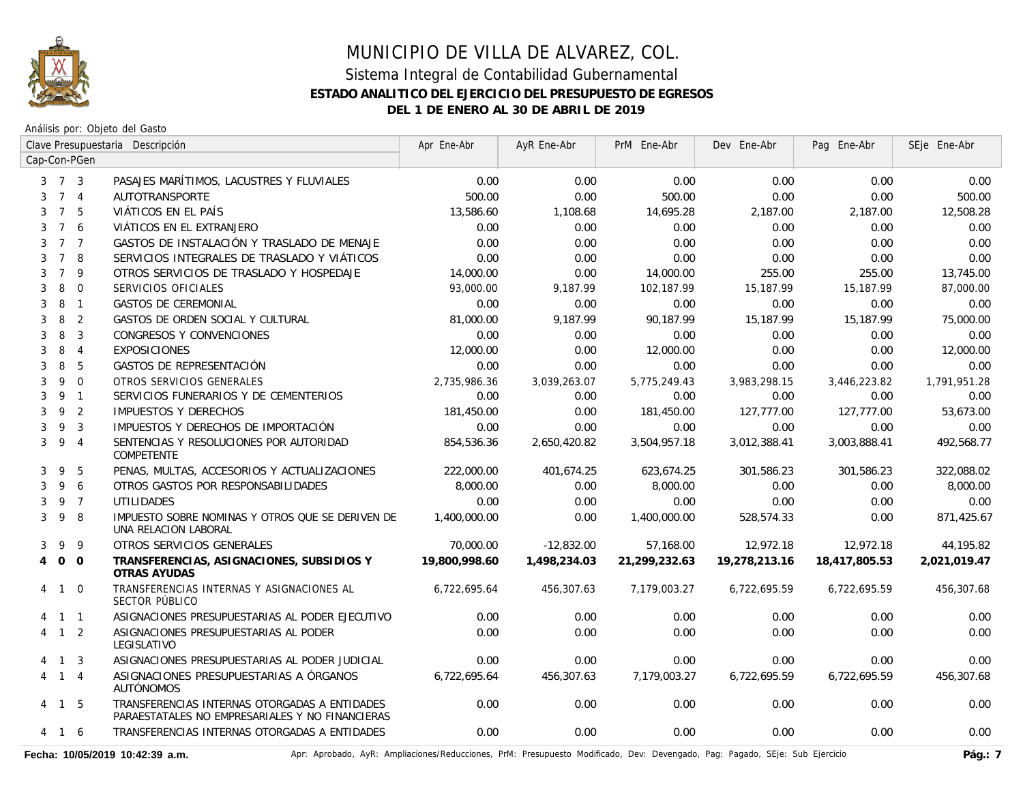

Análisis por: Objeto del Gasto

|   |                     |                | Clave Presupuestaria Descripción                                                                 | Apr Ene-Abr   | AyR Ene-Abr  | PrM Ene-Abr   | Dev Ene-Abr   | Pag Ene-Abr   | SEje Ene-Abr |
|---|---------------------|----------------|--------------------------------------------------------------------------------------------------|---------------|--------------|---------------|---------------|---------------|--------------|
|   |                     | Cap-Con-PGen   |                                                                                                  |               |              |               |               |               |              |
|   | $3 \quad 7 \quad 3$ |                | PASAJES MARÍTIMOS, LACUSTRES Y FLUVIALES                                                         | 0.00          | 0.00         | 0.00          | 0.00          | 0.00          | 0.00         |
| 3 |                     | 7 <sub>4</sub> | AUTOTRANSPORTE                                                                                   | 500.00        | 0.00         | 500.00        | 0.00          | 0.00          | 500.00       |
| 3 | $7^{\circ}$         | -5             | VIÁTICOS EN EL PAÍS                                                                              | 13,586.60     | 1,108.68     | 14,695.28     | 2,187.00      | 2,187.00      | 12,508.28    |
| 3 | $7^{\circ}$         | 6              | VIÁTICOS EN EL EXTRANJERO                                                                        | 0.00          | 0.00         | 0.00          | 0.00          | 0.00          | 0.00         |
| 3 | $7^{\circ}$         | $\overline{7}$ | GASTOS DE INSTALACIÓN Y TRASLADO DE MENAJE                                                       | 0.00          | 0.00         | 0.00          | 0.00          | 0.00          | 0.00         |
| 3 | $7^{\circ}$         | -8             | SERVICIOS INTEGRALES DE TRASLADO Y VIÁTICOS                                                      | 0.00          | 0.00         | 0.00          | 0.00          | 0.00          | 0.00         |
| 3 | $\overline{7}$      | 9              | OTROS SERVICIOS DE TRASLADO Y HOSPEDAJE                                                          | 14,000.00     | 0.00         | 14,000.00     | 255.00        | 255.00        | 13,745.00    |
| 3 | 8                   | $\mathbf 0$    | SERVICIOS OFICIALES                                                                              | 93,000.00     | 9,187.99     | 102,187.99    | 15,187.99     | 15,187.99     | 87,000.00    |
| 3 | 8                   | $\overline{1}$ | <b>GASTOS DE CEREMONIAL</b>                                                                      | 0.00          | 0.00         | 0.00          | 0.00          | 0.00          | 0.00         |
| 3 | 8                   | $\overline{2}$ | GASTOS DE ORDEN SOCIAL Y CULTURAL                                                                | 81,000.00     | 9.187.99     | 90.187.99     | 15,187.99     | 15,187.99     | 75,000.00    |
| 3 | 8                   | 3              | CONGRESOS Y CONVENCIONES                                                                         | 0.00          | 0.00         | 0.00          | 0.00          | 0.00          | 0.00         |
| 3 | 8                   | $\overline{4}$ | <b>EXPOSICIONES</b>                                                                              | 12,000.00     | 0.00         | 12,000.00     | 0.00          | 0.00          | 12,000.00    |
| 3 | 8                   | 5              | GASTOS DE REPRESENTACIÓN                                                                         | 0.00          | 0.00         | 0.00          | 0.00          | 0.00          | 0.00         |
| 3 | 9                   | $\overline{0}$ | OTROS SERVICIOS GENERALES                                                                        | 2,735,986.36  | 3,039,263.07 | 5,775,249.43  | 3,983,298.15  | 3,446,223.82  | 1,791,951.28 |
| 3 | 9                   | $\overline{1}$ | SERVICIOS FUNERARIOS Y DE CEMENTERIOS                                                            | 0.00          | 0.00         | 0.00          | 0.00          | 0.00          | 0.00         |
| 3 | 9                   | $\overline{2}$ | <b>IMPUESTOS Y DERECHOS</b>                                                                      | 181,450.00    | 0.00         | 181,450.00    | 127,777.00    | 127,777.00    | 53,673.00    |
| 3 | 9                   | $\overline{3}$ | IMPUESTOS Y DERECHOS DE IMPORTACIÓN                                                              | 0.00          | 0.00         | 0.00          | 0.00          | 0.00          | 0.00         |
| 3 | 9                   | $\overline{4}$ | SENTENCIAS Y RESOLUCIONES POR AUTORIDAD<br>COMPETENTE                                            | 854,536.36    | 2,650,420.82 | 3,504,957.18  | 3,012,388.41  | 3,003,888.41  | 492,568.77   |
| 3 | 9                   | 5              | PENAS, MULTAS, ACCESORIOS Y ACTUALIZACIONES                                                      | 222,000.00    | 401,674.25   | 623,674.25    | 301,586.23    | 301,586.23    | 322,088.02   |
| 3 | 9                   | 6              | OTROS GASTOS POR RESPONSABILIDADES                                                               | 8,000.00      | 0.00         | 8,000.00      | 0.00          | 0.00          | 8,000.00     |
| 3 |                     | 9 7            | <b>UTILIDADES</b>                                                                                | 0.00          | 0.00         | 0.00          | 0.00          | 0.00          | 0.00         |
| 3 | 9                   | -8             | IMPUESTO SOBRE NOMINAS Y OTROS QUE SE DERIVEN DE<br>UNA RELACION LABORAL                         | 1,400,000.00  | 0.00         | 1,400,000.00  | 528,574.33    | 0.00          | 871,425.67   |
| 3 | 9                   | 9              | OTROS SERVICIOS GENERALES                                                                        | 70,000.00     | $-12,832.00$ | 57,168.00     | 12,972.18     | 12,972.18     | 44,195.82    |
| 4 | $\overline{O}$      | $\overline{0}$ | TRANSFERENCIAS, ASIGNACIONES, SUBSIDIOS Y<br>OTRAS AYUDAS                                        | 19,800,998.60 | 1,498,234.03 | 21,299,232.63 | 19,278,213.16 | 18,417,805.53 | 2,021,019.47 |
|   | 4 1                 | $\overline{0}$ | TRANSFERENCIAS INTERNAS Y ASIGNACIONES AL<br>SECTOR PÚBLICO                                      | 6,722,695.64  | 456,307.63   | 7,179,003.27  | 6,722,695.59  | 6,722,695.59  | 456,307.68   |
|   |                     | $1 \quad 1$    | ASIGNACIONES PRESUPUESTARIAS AL PODER EJECUTIVO                                                  | 0.00          | 0.00         | 0.00          | 0.00          | 0.00          | 0.00         |
|   |                     | $1\quad 2$     | ASIGNACIONES PRESUPUESTARIAS AL PODER<br>LEGISLATIVO                                             | 0.00          | 0.00         | 0.00          | 0.00          | 0.00          | 0.00         |
|   | 4 1                 | $\overline{3}$ | ASIGNACIONES PRESUPUESTARIAS AL PODER JUDICIAL                                                   | 0.00          | 0.00         | 0.00          | 0.00          | 0.00          | 0.00         |
| 4 |                     | $1 \quad 4$    | ASIGNACIONES PRESUPUESTARIAS A ÓRGANOS<br><b>AUTÓNOMOS</b>                                       | 6,722,695.64  | 456,307.63   | 7,179,003.27  | 6,722,695.59  | 6,722,695.59  | 456,307.68   |
|   | 4 1 5               |                | TRANSFERENCIAS INTERNAS OTORGADAS A ENTIDADES<br>PARAESTATALES NO EMPRESARIALES Y NO FINANCIERAS | 0.00          | 0.00         | 0.00          | 0.00          | 0.00          | 0.00         |
|   | 4 1 6               |                | TRANSFERENCIAS INTERNAS OTORGADAS A ENTIDADES                                                    | 0.00          | 0.00         | 0.00          | 0.00          | 0.00          | 0.00         |

Fecha: 10/05/2019 10:42:39 a.m. **Aprical Page: Aprobado, AyR: Ampliaciones/Reducciones, PrM: Presupuesto Modificado, Dev: Devengado, Pag: Pagado, SEje: Sub Ejercicio Pág.: 7**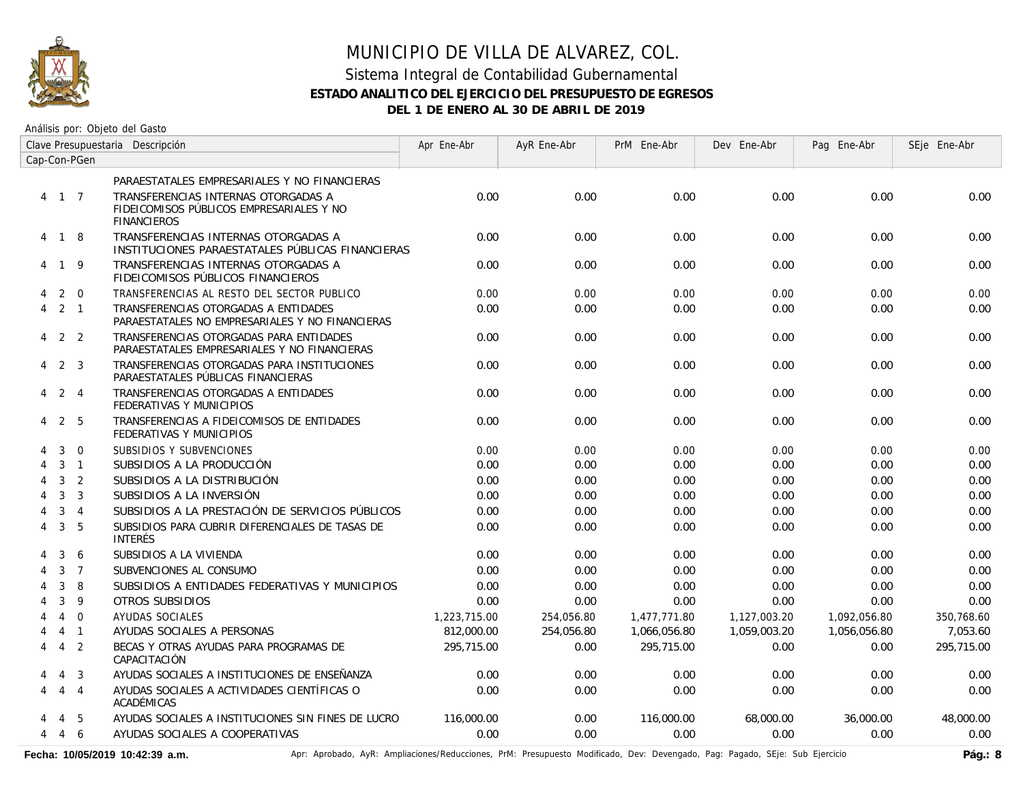

# MUNICIPIO DE VILLA DE ALVAREZ, COL. Sistema Integral de Contabilidad Gubernamental

#### **ESTADO ANALITICO DEL EJERCICIO DEL PRESUPUESTO DE EGRESOS**

**DEL 1 DE ENERO AL 30 DE ABRIL DE 2019**

Análisis por: Objeto del Gasto

|                | Clave Presupuestaria Descripción |                | Apr Ene-Abr                                                                                           | AyR Ene-Abr  | PrM Ene-Abr | Dev Ene-Abr  | Pag Ene-Abr  | SEje Ene-Abr |            |
|----------------|----------------------------------|----------------|-------------------------------------------------------------------------------------------------------|--------------|-------------|--------------|--------------|--------------|------------|
|                |                                  | Cap-Con-PGen   |                                                                                                       |              |             |              |              |              |            |
|                |                                  |                | PARAESTATALES EMPRESARIALES Y NO FINANCIERAS                                                          |              |             |              |              |              |            |
|                | 4 1 7                            |                | TRANSFERENCIAS INTERNAS OTORGADAS A<br>FIDEICOMISOS PÚBLICOS EMPRESARIALES Y NO<br><b>FINANCIEROS</b> | 0.00         | 0.00        | 0.00         | 0.00         | 0.00         | 0.00       |
|                | 4 1 8                            |                | TRANSFERENCIAS INTERNAS OTORGADAS A<br>INSTITUCIONES PARAESTATALES PÚBLICAS FINANCIERAS               | 0.00         | 0.00        | 0.00         | 0.00         | 0.00         | 0.00       |
|                | 4 1 9                            |                | TRANSFERENCIAS INTERNAS OTORGADAS A<br>FIDEICOMISOS PÚBLICOS FINANCIEROS                              | 0.00         | 0.00        | 0.00         | 0.00         | 0.00         | 0.00       |
|                |                                  | $2 \quad 0$    | TRANSFERENCIAS AL RESTO DEL SECTOR PUBLICO                                                            | 0.00         | 0.00        | 0.00         | 0.00         | 0.00         | 0.00       |
| 4              |                                  | 2 1            | TRANSFERENCIAS OTORGADAS A ENTIDADES<br>PARAESTATALES NO EMPRESARIALES Y NO FINANCIERAS               | 0.00         | 0.00        | 0.00         | 0.00         | 0.00         | 0.00       |
|                | $4$ 2 2                          |                | TRANSFERENCIAS OTORGADAS PARA ENTIDADES<br>PARAESTATALES EMPRESARIALES Y NO FINANCIERAS               | 0.00         | 0.00        | 0.00         | 0.00         | 0.00         | 0.00       |
| 4              |                                  | 2 3            | TRANSFERENCIAS OTORGADAS PARA INSTITUCIONES<br>PARAESTATALES PÚBLICAS FINANCIERAS                     | 0.00         | 0.00        | 0.00         | 0.00         | 0.00         | 0.00       |
| 4              |                                  | 2 4            | TRANSFERENCIAS OTORGADAS A ENTIDADES<br>FEDERATIVAS Y MUNICIPIOS                                      | 0.00         | 0.00        | 0.00         | 0.00         | 0.00         | 0.00       |
| 4              | 2                                | - 5            | TRANSFERENCIAS A FIDEICOMISOS DE ENTIDADES<br>FEDERATIVAS Y MUNICIPIOS                                | 0.00         | 0.00        | 0.00         | 0.00         | 0.00         | 0.00       |
| 4              | 3                                | $\mathbf 0$    | SUBSIDIOS Y SUBVENCIONES                                                                              | 0.00         | 0.00        | 0.00         | 0.00         | 0.00         | 0.00       |
| 4              | $\mathbf{3}$                     | $\overline{1}$ | SUBSIDIOS A LA PRODUCCIÓN                                                                             | 0.00         | 0.00        | 0.00         | 0.00         | 0.00         | 0.00       |
| 4              | 3                                | 2              | SUBSIDIOS A LA DISTRIBUCIÓN                                                                           | 0.00         | 0.00        | 0.00         | 0.00         | 0.00         | 0.00       |
| 4              | 3                                | $\overline{3}$ | SUBSIDIOS A LA INVERSIÓN                                                                              | 0.00         | 0.00        | 0.00         | 0.00         | 0.00         | 0.00       |
| 4              | 3                                | $\overline{4}$ | SUBSIDIOS A LA PRESTACIÓN DE SERVICIOS PÚBLICOS                                                       | 0.00         | 0.00        | 0.00         | 0.00         | 0.00         | 0.00       |
| 4              | 3                                | 5              | SUBSIDIOS PARA CUBRIR DIFERENCIALES DE TASAS DE<br><b>INTERÉS</b>                                     | 0.00         | 0.00        | 0.00         | 0.00         | 0.00         | 0.00       |
|                | 3                                | 6              | SUBSIDIOS A LA VIVIENDA                                                                               | 0.00         | 0.00        | 0.00         | 0.00         | 0.00         | 0.00       |
|                | $\mathbf{3}$                     | $\overline{7}$ | SUBVENCIONES AL CONSUMO                                                                               | 0.00         | 0.00        | 0.00         | 0.00         | 0.00         | 0.00       |
|                | 3                                | 8              | SUBSIDIOS A ENTIDADES FEDERATIVAS Y MUNICIPIOS                                                        | 0.00         | 0.00        | 0.00         | 0.00         | 0.00         | 0.00       |
|                | 3                                | 9              | OTROS SUBSIDIOS                                                                                       | 0.00         | 0.00        | 0.00         | 0.00         | 0.00         | 0.00       |
|                | $\overline{4}$                   | $\overline{0}$ | AYUDAS SOCIALES                                                                                       | 1,223,715.00 | 254,056.80  | 1,477,771.80 | 1,127,003.20 | 1,092,056.80 | 350,768.60 |
|                |                                  | $4 \quad 1$    | AYUDAS SOCIALES A PERSONAS                                                                            | 812,000.00   | 254,056.80  | 1,066,056.80 | 1,059,003.20 | 1,056,056.80 | 7,053.60   |
| $\overline{4}$ |                                  | $4\quad 2$     | BECAS Y OTRAS AYUDAS PARA PROGRAMAS DE<br>CAPACITACIÓN                                                | 295,715.00   | 0.00        | 295,715.00   | 0.00         | 0.00         | 295,715.00 |
|                | $\overline{4}$                   | $\overline{3}$ | AYUDAS SOCIALES A INSTITUCIONES DE ENSEÑANZA                                                          | 0.00         | 0.00        | 0.00         | 0.00         | 0.00         | 0.00       |
| 4              |                                  | $4\quad 4$     | AYUDAS SOCIALES A ACTIVIDADES CIENTÍFICAS O<br>ACADÉMICAS                                             | 0.00         | 0.00        | 0.00         | 0.00         | 0.00         | 0.00       |
|                | 4                                | -5             | AYUDAS SOCIALES A INSTITUCIONES SIN FINES DE LUCRO                                                    | 116,000.00   | 0.00        | 116,000.00   | 68,000.00    | 36,000.00    | 48,000.00  |
| 4              | 4                                | 6              | AYUDAS SOCIALES A COOPERATIVAS                                                                        | 0.00         | 0.00        | 0.00         | 0.00         | 0.00         | 0.00       |

Fecha: 10/05/2019 10:42:39 a.m. **Aprical Access** Aprical AyR: Ampliaciones/Reducciones, PrM: Presupuesto Modificado, Dev: Devengado, Pag: Pagado, SEje: Sub Ejercicio Pág.: 8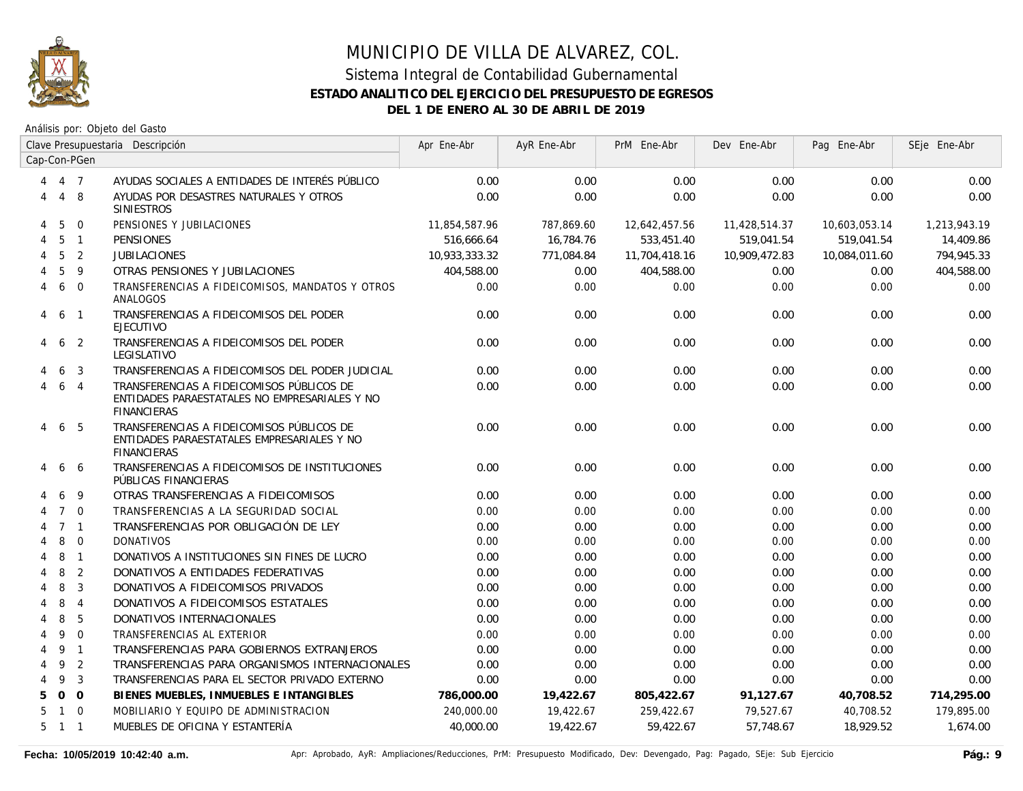

|                |                 |                | Clave Presupuestaria Descripción                                                                                 | Apr Ene-Abr   | AyR Ene-Abr | PrM Ene-Abr   | Dev Ene-Abr   | Pag Ene-Abr   | SEje Ene-Abr |
|----------------|-----------------|----------------|------------------------------------------------------------------------------------------------------------------|---------------|-------------|---------------|---------------|---------------|--------------|
|                |                 | Cap-Con-PGen   |                                                                                                                  |               |             |               |               |               |              |
| 4              | 4 7             |                | AYUDAS SOCIALES A ENTIDADES DE INTERÉS PÚBLICO                                                                   | 0.00          | 0.00        | 0.00          | 0.00          | 0.00          | 0.00         |
| 4              |                 | 4 8            | AYUDAS POR DESASTRES NATURALES Y OTROS<br><b>SINIESTROS</b>                                                      | 0.00          | 0.00        | 0.00          | 0.00          | 0.00          | 0.00         |
| 4              | 5               | $\Omega$       | PENSIONES Y JUBILACIONES                                                                                         | 11,854,587.96 | 787,869.60  | 12,642,457.56 | 11,428,514.37 | 10,603,053.14 | 1,213,943.19 |
| 4              | 5               | $\overline{1}$ | <b>PENSIONES</b>                                                                                                 | 516.666.64    | 16.784.76   | 533,451.40    | 519.041.54    | 519.041.54    | 14,409.86    |
| $\overline{4}$ | $5\overline{5}$ | $\overline{2}$ | <b>JUBILACIONES</b>                                                                                              | 10,933,333,32 | 771.084.84  | 11.704.418.16 | 10.909.472.83 | 10,084,011.60 | 794,945.33   |
|                | 5               | 9              | OTRAS PENSIONES Y JUBILACIONES                                                                                   | 404,588.00    | 0.00        | 404,588.00    | 0.00          | 0.00          | 404,588.00   |
| 4              | 6               | $\Omega$       | TRANSFERENCIAS A FIDEICOMISOS, MANDATOS Y OTROS<br>ANALOGOS                                                      | 0.00          | 0.00        | 0.00          | 0.00          | 0.00          | 0.00         |
| 4              | 6               | $\overline{1}$ | TRANSFERENCIAS A FIDEICOMISOS DEL PODER<br><b>EJECUTIVO</b>                                                      | 0.00          | 0.00        | 0.00          | 0.00          | 0.00          | 0.00         |
| 4              | 6               | -2             | TRANSFERENCIAS A FIDEICOMISOS DEL PODER<br>LEGISLATIVO                                                           | 0.00          | 0.00        | 0.00          | 0.00          | 0.00          | 0.00         |
|                | 6               | 3              | TRANSFERENCIAS A FIDEICOMISOS DEL PODER JUDICIAL                                                                 | 0.00          | 0.00        | 0.00          | 0.00          | 0.00          | 0.00         |
| 4              | 6               | $\overline{4}$ | TRANSFERENCIAS A FIDEICOMISOS PÚBLICOS DE<br>ENTIDADES PARAESTATALES NO EMPRESARIALES Y NO<br><b>FINANCIERAS</b> | 0.00          | 0.00        | 0.00          | 0.00          | 0.00          | 0.00         |
| 4              |                 | 6 5            | TRANSFERENCIAS A FIDEICOMISOS PÚBLICOS DE<br>ENTIDADES PARAESTATALES EMPRESARIALES Y NO<br><b>FINANCIERAS</b>    | 0.00          | 0.00        | 0.00          | 0.00          | 0.00          | 0.00         |
| 4              | 6               | -6             | TRANSFERENCIAS A FIDEICOMISOS DE INSTITUCIONES<br>PÚBLICAS FINANCIERAS                                           | 0.00          | 0.00        | 0.00          | 0.00          | 0.00          | 0.00         |
|                | 6               | -9             | OTRAS TRANSFERENCIAS A FIDEICOMISOS                                                                              | 0.00          | 0.00        | 0.00          | 0.00          | 0.00          | 0.00         |
|                | $7^{\circ}$     | $\Omega$       | TRANSFERENCIAS A LA SEGURIDAD SOCIAL                                                                             | 0.00          | 0.00        | 0.00          | 0.00          | 0.00          | 0.00         |
|                |                 | 7 <sub>1</sub> | TRANSFERENCIAS POR OBLIGACIÓN DE LEY                                                                             | 0.00          | 0.00        | 0.00          | 0.00          | 0.00          | 0.00         |
|                | 8               | $\overline{0}$ | <b>DONATIVOS</b>                                                                                                 | 0.00          | 0.00        | 0.00          | 0.00          | 0.00          | 0.00         |
|                | 8               | $\overline{1}$ | DONATIVOS A INSTITUCIONES SIN FINES DE LUCRO                                                                     | 0.00          | 0.00        | 0.00          | 0.00          | 0.00          | 0.00         |
| 4              | 8               | 2              | DONATIVOS A ENTIDADES FEDERATIVAS                                                                                | 0.00          | 0.00        | 0.00          | 0.00          | 0.00          | 0.00         |
| 4              | 8               | $\overline{3}$ | DONATIVOS A FIDEICOMISOS PRIVADOS                                                                                | 0.00          | 0.00        | 0.00          | 0.00          | 0.00          | 0.00         |
| 4              | 8               | $\overline{4}$ | DONATIVOS A FIDEICOMISOS ESTATALES                                                                               | 0.00          | 0.00        | 0.00          | 0.00          | 0.00          | 0.00         |
| 4              | 8               | 5              | DONATIVOS INTERNACIONALES                                                                                        | 0.00          | 0.00        | 0.00          | 0.00          | 0.00          | 0.00         |
| 4              | 9               | $\Omega$       | TRANSFERENCIAS AL EXTERIOR                                                                                       | 0.00          | 0.00        | 0.00          | 0.00          | 0.00          | 0.00         |
| 4              | 9 1             |                | TRANSFERENCIAS PARA GOBIERNOS EXTRANJEROS                                                                        | 0.00          | 0.00        | 0.00          | 0.00          | 0.00          | 0.00         |
| 4              | 9               | $\overline{2}$ | TRANSFERENCIAS PARA ORGANISMOS INTERNACIONALES                                                                   | 0.00          | 0.00        | 0.00          | 0.00          | 0.00          | 0.00         |
| 4              | 9               | $\overline{3}$ | TRANSFERENCIAS PARA EL SECTOR PRIVADO EXTERNO                                                                    | 0.00          | 0.00        | 0.00          | 0.00          | 0.00          | 0.00         |
| 5.             |                 | $0\quad 0$     | BIENES MUEBLES, INMUEBLES E INTANGIBLES                                                                          | 786,000.00    | 19,422.67   | 805,422.67    | 91,127.67     | 40,708.52     | 714,295.00   |
| 5              |                 | $1 \quad 0$    | MOBILIARIO Y EQUIPO DE ADMINISTRACION                                                                            | 240,000.00    | 19,422.67   | 259,422.67    | 79,527.67     | 40,708.52     | 179,895.00   |
| 5              | $1 \quad 1$     |                | MUEBLES DE OFICINA Y ESTANTERÍA                                                                                  | 40,000.00     | 19,422.67   | 59,422.67     | 57,748.67     | 18,929.52     | 1.674.00     |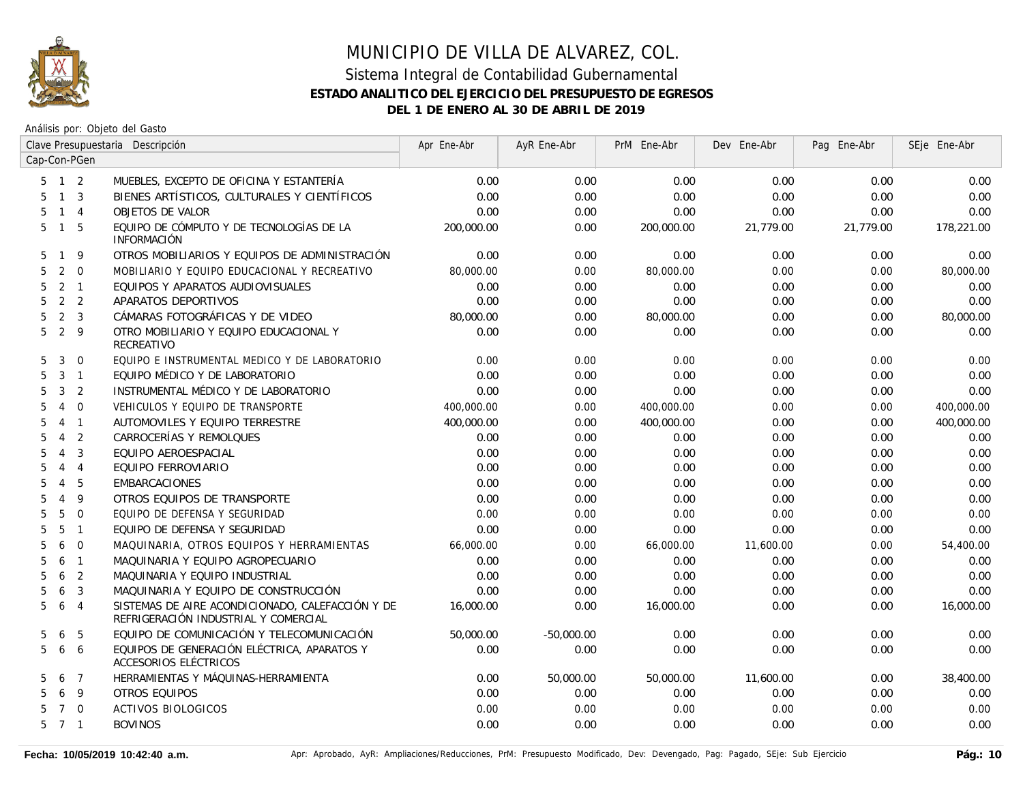

|                     |                |                | Clave Presupuestaria Descripción                                                         | Apr Ene-Abr | AyR Ene-Abr  | PrM Ene-Abr | Dev Ene-Abr | Pag Ene-Abr | SEje Ene-Abr |
|---------------------|----------------|----------------|------------------------------------------------------------------------------------------|-------------|--------------|-------------|-------------|-------------|--------------|
| Cap-Con-PGen        |                |                |                                                                                          |             |              |             |             |             |              |
| $5 \quad 1 \quad 2$ |                |                | MUEBLES, EXCEPTO DE OFICINA Y ESTANTERÍA                                                 | 0.00        | 0.00         | 0.00        | 0.00        | 0.00        | 0.00         |
| 5                   | $\mathbf{1}$   | $\overline{3}$ | BIENES ARTÍSTICOS, CULTURALES Y CIENTÍFICOS                                              | 0.00        | 0.00         | 0.00        | 0.00        | 0.00        | 0.00         |
| 5                   | $\mathbf{1}$   | $\overline{4}$ | OBJETOS DE VALOR                                                                         | 0.00        | 0.00         | 0.00        | 0.00        | 0.00        | 0.00         |
| 5                   | $\mathbf{1}$   | - 5            | EQUIPO DE CÓMPUTO Y DE TECNOLOGÍAS DE LA<br><b>INFORMACIÓN</b>                           | 200,000.00  | 0.00         | 200,000.00  | 21,779.00   | 21,779.00   | 178,221.00   |
| 5.                  | $\mathbf{1}$   | 9              | OTROS MOBILIARIOS Y EQUIPOS DE ADMINISTRACIÓN                                            | 0.00        | 0.00         | 0.00        | 0.00        | 0.00        | 0.00         |
| 5                   | 2              | $\overline{0}$ | MOBILIARIO Y EQUIPO EDUCACIONAL Y RECREATIVO                                             | 80,000.00   | 0.00         | 80,000.00   | 0.00        | 0.00        | 80,000.00    |
| 5                   | $2 \quad 1$    |                | EQUIPOS Y APARATOS AUDIOVISUALES                                                         | 0.00        | 0.00         | 0.00        | 0.00        | 0.00        | 0.00         |
| 5                   | 2 <sub>2</sub> |                | APARATOS DEPORTIVOS                                                                      | 0.00        | 0.00         | 0.00        | 0.00        | 0.00        | 0.00         |
| 5                   | 2              | $\overline{3}$ | CÁMARAS FOTOGRÁFICAS Y DE VIDEO                                                          | 80,000.00   | 0.00         | 80,000.00   | 0.00        | 0.00        | 80,000.00    |
| 5                   | $\overline{2}$ | 9              | OTRO MOBILIARIO Y EQUIPO EDUCACIONAL Y<br>RECREATIVO                                     | 0.00        | 0.00         | 0.00        | 0.00        | 0.00        | 0.00         |
| 5                   | 3              | $\overline{0}$ | EQUIPO E INSTRUMENTAL MEDICO Y DE LABORATORIO                                            | 0.00        | 0.00         | 0.00        | 0.00        | 0.00        | 0.00         |
| 5                   | 3              | $\overline{1}$ | EQUIPO MÉDICO Y DE LABORATORIO                                                           | 0.00        | 0.00         | 0.00        | 0.00        | 0.00        | 0.00         |
| 5                   | 3              | $\overline{2}$ | INSTRUMENTAL MÉDICO Y DE LABORATORIO                                                     | 0.00        | 0.00         | 0.00        | 0.00        | 0.00        | 0.00         |
| 5                   | 4              | $\Omega$       | VEHICULOS Y EQUIPO DE TRANSPORTE                                                         | 400,000.00  | 0.00         | 400,000.00  | 0.00        | 0.00        | 400,000.00   |
| 5                   | 4              | $\overline{1}$ | AUTOMOVILES Y EQUIPO TERRESTRE                                                           | 400,000.00  | 0.00         | 400,000.00  | 0.00        | 0.00        | 400,000.00   |
| 5                   | $\overline{4}$ | $\overline{2}$ | CARROCERÍAS Y REMOLQUES                                                                  | 0.00        | 0.00         | 0.00        | 0.00        | 0.00        | 0.00         |
| 5                   | $\overline{4}$ | $\overline{3}$ | EQUIPO AEROESPACIAL                                                                      | 0.00        | 0.00         | 0.00        | 0.00        | 0.00        | 0.00         |
| 5                   | $\overline{4}$ | $\overline{4}$ | EQUIPO FERROVIARIO                                                                       | 0.00        | 0.00         | 0.00        | 0.00        | 0.00        | 0.00         |
| 5                   | $\overline{4}$ | 5              | <b>EMBARCACIONES</b>                                                                     | 0.00        | 0.00         | 0.00        | 0.00        | 0.00        | 0.00         |
| 5                   | $\overline{4}$ | 9              | OTROS EQUIPOS DE TRANSPORTE                                                              | 0.00        | 0.00         | 0.00        | 0.00        | 0.00        | 0.00         |
| 5                   | 5              | $\Omega$       | EQUIPO DE DEFENSA Y SEGURIDAD                                                            | 0.00        | 0.00         | 0.00        | 0.00        | 0.00        | 0.00         |
| 5                   | 5              | $\overline{1}$ | EQUIPO DE DEFENSA Y SEGURIDAD                                                            | 0.00        | 0.00         | 0.00        | 0.00        | 0.00        | 0.00         |
| 5                   | 6              | $\overline{0}$ | MAQUINARIA, OTROS EQUIPOS Y HERRAMIENTAS                                                 | 66,000.00   | 0.00         | 66,000.00   | 11,600.00   | 0.00        | 54,400.00    |
| 5                   | 6              | $\overline{1}$ | MAQUINARIA Y EQUIPO AGROPECUARIO                                                         | 0.00        | 0.00         | 0.00        | 0.00        | 0.00        | 0.00         |
| 5                   | 6              | $\overline{2}$ | MAQUINARIA Y EQUIPO INDUSTRIAL                                                           | 0.00        | 0.00         | 0.00        | 0.00        | 0.00        | 0.00         |
| 5                   | 6              | 3              | MAQUINARIA Y EQUIPO DE CONSTRUCCIÓN                                                      | 0.00        | 0.00         | 0.00        | 0.00        | 0.00        | 0.00         |
| 5                   | 6              | $\overline{4}$ | SISTEMAS DE AIRE ACONDICIONADO, CALEFACCIÓN Y DE<br>REFRIGERACIÓN INDUSTRIAL Y COMERCIAL | 16,000.00   | 0.00         | 16,000.00   | 0.00        | 0.00        | 16,000.00    |
| 5                   | 6              | 5              | EQUIPO DE COMUNICACIÓN Y TELECOMUNICACIÓN                                                | 50,000.00   | $-50,000.00$ | 0.00        | 0.00        | 0.00        | 0.00         |
| 5                   | 6              | 6              | EQUIPOS DE GENERACIÓN ELÉCTRICA, APARATOS Y<br>ACCESORIOS ELÉCTRICOS                     | 0.00        | 0.00         | 0.00        | 0.00        | 0.00        | 0.00         |
| 5                   | 6              | $\overline{7}$ | HERRAMIENTAS Y MÁQUINAS-HERRAMIENTA                                                      | 0.00        | 50,000.00    | 50,000.00   | 11,600.00   | 0.00        | 38,400.00    |
| 5                   | 6              | - 9            | OTROS EQUIPOS                                                                            | 0.00        | 0.00         | 0.00        | 0.00        | 0.00        | 0.00         |
| 5.                  | 7 0            |                | <b>ACTIVOS BIOLOGICOS</b>                                                                | 0.00        | 0.00         | 0.00        | 0.00        | 0.00        | 0.00         |
| $5 \quad 7 \quad 1$ |                |                | <b>BOVINOS</b>                                                                           | 0.00        | 0.00         | 0.00        | 0.00        | 0.00        | 0.00         |
|                     |                |                |                                                                                          |             |              |             |             |             |              |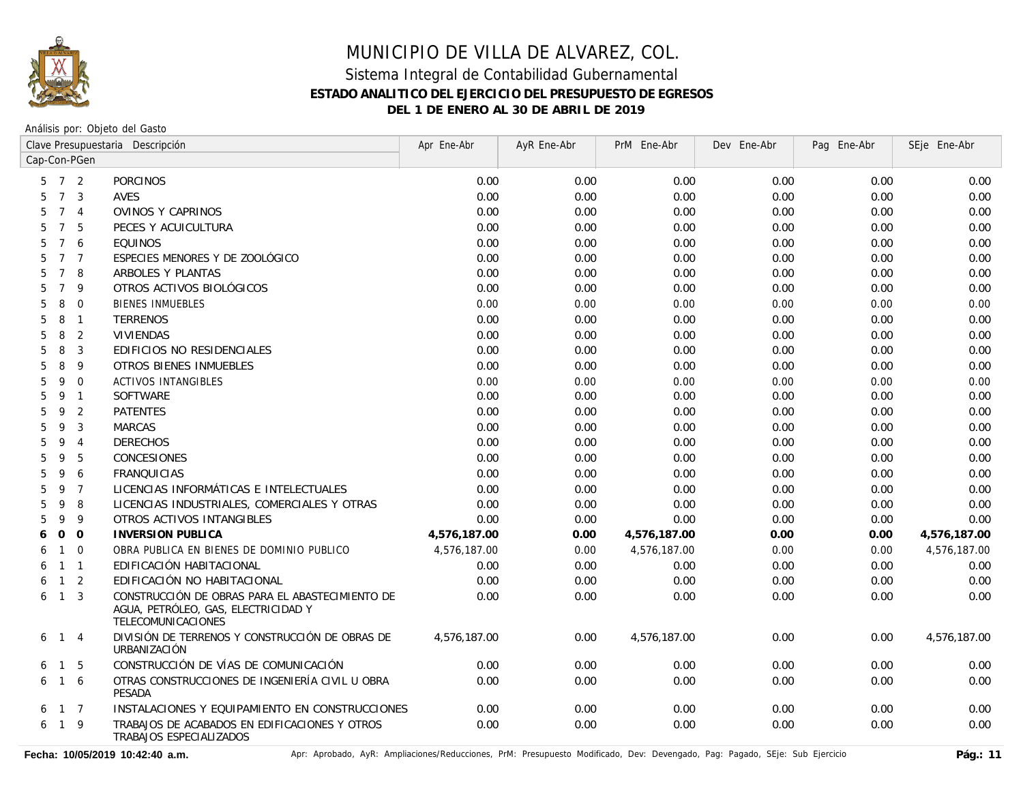

Análisis por: Objeto del Gasto

|                      |                | Clave Presupuestaria Descripción                                                                             | Apr Ene-Abr  | AyR Ene-Abr | PrM Ene-Abr  | Dev Ene-Abr | Pag Ene-Abr | SEje Ene-Abr |
|----------------------|----------------|--------------------------------------------------------------------------------------------------------------|--------------|-------------|--------------|-------------|-------------|--------------|
| Cap-Con-PGen         |                |                                                                                                              |              |             |              |             |             |              |
| 5                    | 7 <sup>2</sup> | <b>PORCINOS</b>                                                                                              | 0.00         | 0.00        | 0.00         | 0.00        | 0.00        | 0.00         |
| $7\overline{ }$<br>5 | $\overline{3}$ | AVES                                                                                                         | 0.00         | 0.00        | 0.00         | 0.00        | 0.00        | 0.00         |
| $\overline{7}$<br>5  | $\overline{4}$ | OVINOS Y CAPRINOS                                                                                            | 0.00         | 0.00        | 0.00         | 0.00        | 0.00        | 0.00         |
| $\overline{7}$<br>5  | 5              | PECES Y ACUICULTURA                                                                                          | 0.00         | 0.00        | 0.00         | 0.00        | 0.00        | 0.00         |
| $7^{\circ}$<br>5     | 6              | <b>EQUINOS</b>                                                                                               | 0.00         | 0.00        | 0.00         | 0.00        | 0.00        | 0.00         |
| 5                    | 7 <sub>7</sub> | ESPECIES MENORES Y DE ZOOLÓGICO                                                                              | 0.00         | 0.00        | 0.00         | 0.00        | 0.00        | 0.00         |
| $\overline{7}$<br>5  | 8              | ARBOLES Y PLANTAS                                                                                            | 0.00         | 0.00        | 0.00         | 0.00        | 0.00        | 0.00         |
| $7^{\circ}$<br>5     | 9              | OTROS ACTIVOS BIOLÓGICOS                                                                                     | 0.00         | 0.00        | 0.00         | 0.00        | 0.00        | 0.00         |
| 5<br>8               | $\mathbf{0}$   | <b>BIENES INMUEBLES</b>                                                                                      | 0.00         | 0.00        | 0.00         | 0.00        | 0.00        | 0.00         |
| 5<br>8               | $\overline{1}$ | <b>TERRENOS</b>                                                                                              | 0.00         | 0.00        | 0.00         | 0.00        | 0.00        | 0.00         |
| 8<br>5               | 2              | <b>VIVIENDAS</b>                                                                                             | 0.00         | 0.00        | 0.00         | 0.00        | 0.00        | 0.00         |
| 8<br>5               | 3              | EDIFICIOS NO RESIDENCIALES                                                                                   | 0.00         | 0.00        | 0.00         | 0.00        | 0.00        | 0.00         |
| 8<br>5               | 9              | OTROS BIENES INMUEBLES                                                                                       | 0.00         | 0.00        | 0.00         | 0.00        | 0.00        | 0.00         |
| 5<br>9               | $\mathbf 0$    | ACTIVOS INTANGIBLES                                                                                          | 0.00         | 0.00        | 0.00         | 0.00        | 0.00        | 0.00         |
| 5<br>9               | $\overline{1}$ | <b>SOFTWARE</b>                                                                                              | 0.00         | 0.00        | 0.00         | 0.00        | 0.00        | 0.00         |
| 9<br>5               | 2              | <b>PATENTES</b>                                                                                              | 0.00         | 0.00        | 0.00         | 0.00        | 0.00        | 0.00         |
| 9<br>5               | 3              | <b>MARCAS</b>                                                                                                | 0.00         | 0.00        | 0.00         | 0.00        | 0.00        | 0.00         |
| 5<br>9               | $\overline{4}$ | <b>DERECHOS</b>                                                                                              | 0.00         | 0.00        | 0.00         | 0.00        | 0.00        | 0.00         |
| 9<br>5               | 5              | CONCESIONES                                                                                                  | 0.00         | 0.00        | 0.00         | 0.00        | 0.00        | 0.00         |
| 9<br>5               | 6              | <b>FRANQUICIAS</b>                                                                                           | 0.00         | 0.00        | 0.00         | 0.00        | 0.00        | 0.00         |
| 9<br>5               | $\overline{7}$ | LICENCIAS INFORMÁTICAS E INTELECTUALES                                                                       | 0.00         | 0.00        | 0.00         | 0.00        | 0.00        | 0.00         |
| 9<br>5               | 8              | LICENCIAS INDUSTRIALES, COMERCIALES Y OTRAS                                                                  | 0.00         | 0.00        | 0.00         | 0.00        | 0.00        | 0.00         |
| 5<br>9               | 9              | OTROS ACTIVOS INTANGIBLES                                                                                    | 0.00         | 0.00        | 0.00         | 0.00        | 0.00        | 0.00         |
| $\mathsf{O}$<br>6    | $\overline{O}$ | <b>INVERSION PUBLICA</b>                                                                                     | 4,576,187.00 | 0.00        | 4,576,187.00 | 0.00        | 0.00        | 4,576,187.00 |
| $\overline{1}$<br>6  | $\mathbf 0$    | OBRA PUBLICA EN BIENES DE DOMINIO PUBLICO                                                                    | 4,576,187.00 | 0.00        | 4,576,187.00 | 0.00        | 0.00        | 4,576,187.00 |
| 6                    | $1 \quad 1$    | EDIFICACIÓN HABITACIONAL                                                                                     | 0.00         | 0.00        | 0.00         | 0.00        | 0.00        | 0.00         |
| $\overline{1}$<br>6  | 2              | EDIFICACIÓN NO HABITACIONAL                                                                                  | 0.00         | 0.00        | 0.00         | 0.00        | 0.00        | 0.00         |
| 6<br>$\mathbf{1}$    | 3              | CONSTRUCCIÓN DE OBRAS PARA EL ABASTECIMIENTO DE<br>AGUA, PETRÓLEO, GAS, ELECTRICIDAD Y<br>TELECOMUNICACIONES | 0.00         | 0.00        | 0.00         | 0.00        | 0.00        | 0.00         |
| $\overline{1}$<br>6  | $\overline{4}$ | DIVISIÓN DE TERRENOS Y CONSTRUCCIÓN DE OBRAS DE<br>URBANIZACIÓN                                              | 4,576,187.00 | 0.00        | 4,576,187.00 | 0.00        | 0.00        | 4,576,187.00 |
| $\overline{1}$<br>6  | 5              | CONSTRUCCIÓN DE VÍAS DE COMUNICACIÓN                                                                         | 0.00         | 0.00        | 0.00         | 0.00        | 0.00        | 0.00         |
| 6                    | 1 6            | OTRAS CONSTRUCCIONES DE INGENIERÍA CIVIL U OBRA<br>PESADA                                                    | 0.00         | 0.00        | 0.00         | 0.00        | 0.00        | 0.00         |
| 6                    | $1 \quad 7$    | INSTALACIONES Y EQUIPAMIENTO EN CONSTRUCCIONES                                                               | 0.00         | 0.00        | 0.00         | 0.00        | 0.00        | 0.00         |
| 6                    | $1 \quad 9$    | TRABAJOS DE ACABADOS EN EDIFICACIONES Y OTROS<br>TRABAJOS ESPECIALIZADOS                                     | 0.00         | 0.00        | 0.00         | 0.00        | 0.00        | 0.00         |

Fecha: 10/05/2019 10:42:40 a.m. **Antical Access** April Aprobado, AyR: Ampliaciones/Reducciones, PrM: Presupuesto Modificado, Dev: Devengado, Pag: Pagado, SEje: Sub Ejercicio Pág.: 11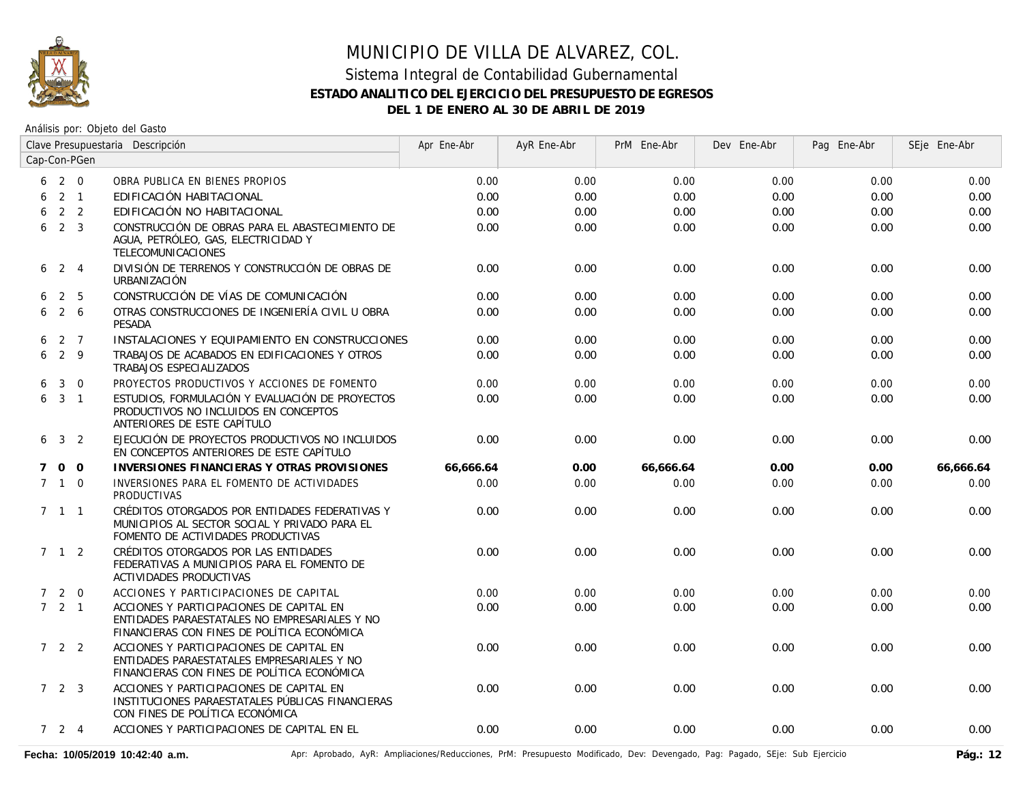

#### Sistema Integral de Contabilidad Gubernamental **ESTADO ANALITICO DEL EJERCICIO DEL PRESUPUESTO DE EGRESOS DEL 1 DE ENERO AL 30 DE ABRIL DE 2019**

|   | Clave Presupuestaria Descripción |                |                                                                                                                                          | Apr Ene-Abr | AyR Ene-Abr | PrM Ene-Abr | Dev Ene-Abr | Pag Ene-Abr | SEje Ene-Abr |
|---|----------------------------------|----------------|------------------------------------------------------------------------------------------------------------------------------------------|-------------|-------------|-------------|-------------|-------------|--------------|
|   |                                  | Cap-Con-PGen   |                                                                                                                                          |             |             |             |             |             |              |
|   | $6\quad 2\quad 0$                |                | OBRA PUBLICA EN BIENES PROPIOS                                                                                                           | 0.00        | 0.00        | 0.00        | 0.00        | 0.00        | 0.00         |
| 6 |                                  | $2 \quad 1$    | EDIFICACIÓN HABITACIONAL                                                                                                                 | 0.00        | 0.00        | 0.00        | 0.00        | 0.00        | 0.00         |
| 6 |                                  | 2 <sub>2</sub> | EDIFICACIÓN NO HABITACIONAL                                                                                                              | 0.00        | 0.00        | 0.00        | 0.00        | 0.00        | 0.00         |
| 6 |                                  | 2 <sup>3</sup> | CONSTRUCCIÓN DE OBRAS PARA EL ABASTECIMIENTO DE<br>AGUA, PETRÓLEO, GAS, ELECTRICIDAD Y<br>TELECOMUNICACIONES                             | 0.00        | 0.00        | 0.00        | 0.00        | 0.00        | 0.00         |
|   | $6 \t2 \t4$                      |                | DIVISIÓN DE TERRENOS Y CONSTRUCCIÓN DE OBRAS DE<br>URBANIZACIÓN                                                                          | 0.00        | 0.00        | 0.00        | 0.00        | 0.00        | 0.00         |
| 6 |                                  | 2 5            | CONSTRUCCIÓN DE VÍAS DE COMUNICACIÓN                                                                                                     | 0.00        | 0.00        | 0.00        | 0.00        | 0.00        | 0.00         |
| 6 |                                  | 2 6            | OTRAS CONSTRUCCIONES DE INGENIERÍA CIVIL U OBRA<br>PESADA                                                                                | 0.00        | 0.00        | 0.00        | 0.00        | 0.00        | 0.00         |
| 6 |                                  | 2 7            | INSTALACIONES Y EQUIPAMIENTO EN CONSTRUCCIONES                                                                                           | 0.00        | 0.00        | 0.00        | 0.00        | 0.00        | 0.00         |
| 6 | $2 \overline{9}$                 |                | TRABAJOS DE ACABADOS EN EDIFICACIONES Y OTROS<br>TRABAJOS ESPECIALIZADOS                                                                 | 0.00        | 0.00        | 0.00        | 0.00        | 0.00        | 0.00         |
| 6 | $\mathbf{3}$                     | $\overline{0}$ | PROYECTOS PRODUCTIVOS Y ACCIONES DE FOMENTO                                                                                              | 0.00        | 0.00        | 0.00        | 0.00        | 0.00        | 0.00         |
|   | 631                              |                | ESTUDIOS, FORMULACIÓN Y EVALUACIÓN DE PROYECTOS<br>PRODUCTIVOS NO INCLUIDOS EN CONCEPTOS<br>ANTERIORES DE ESTE CAPÍTULO                  | 0.00        | 0.00        | 0.00        | 0.00        | 0.00        | 0.00         |
|   | $6 \t3 \t2$                      |                | EJECUCIÓN DE PROYECTOS PRODUCTIVOS NO INCLUIDOS<br>EN CONCEPTOS ANTERIORES DE ESTE CAPÍTULO                                              | 0.00        | 0.00        | 0.00        | 0.00        | 0.00        | 0.00         |
| 7 |                                  | $0\quad 0$     | <b>INVERSIONES FINANCIERAS Y OTRAS PROVISIONES</b>                                                                                       | 66,666.64   | 0.00        | 66,666.64   | 0.00        | 0.00        | 66,666.64    |
|   | $7 \quad 1 \quad 0$              |                | INVERSIONES PARA EL FOMENTO DE ACTIVIDADES<br><b>PRODUCTIVAS</b>                                                                         | 0.00        | 0.00        | 0.00        | 0.00        | 0.00        | 0.00         |
|   | $7 \quad 1 \quad 1$              |                | CRÉDITOS OTORGADOS POR ENTIDADES FEDERATIVAS Y<br>MUNICIPIOS AL SECTOR SOCIAL Y PRIVADO PARA EL<br>FOMENTO DE ACTIVIDADES PRODUCTIVAS    | 0.00        | 0.00        | 0.00        | 0.00        | 0.00        | 0.00         |
|   | 7 1 2                            |                | CRÉDITOS OTORGADOS POR LAS ENTIDADES<br>FEDERATIVAS A MUNICIPIOS PARA EL FOMENTO DE<br>ACTIVIDADES PRODUCTIVAS                           | 0.00        | 0.00        | 0.00        | 0.00        | 0.00        | 0.00         |
|   | 720                              |                | ACCIONES Y PARTICIPACIONES DE CAPITAL                                                                                                    | 0.00        | 0.00        | 0.00        | 0.00        | 0.00        | 0.00         |
|   | $7 \quad 2 \quad 1$              |                | ACCIONES Y PARTICIPACIONES DE CAPITAL EN<br>ENTIDADES PARAESTATALES NO EMPRESARIALES Y NO<br>FINANCIERAS CON FINES DE POLÍTICA ECONÓMICA | 0.00        | 0.00        | 0.00        | 0.00        | 0.00        | 0.00         |
|   | 7 2 2                            |                | ACCIONES Y PARTICIPACIONES DE CAPITAL EN<br>ENTIDADES PARAESTATALES EMPRESARIALES Y NO<br>FINANCIERAS CON FINES DE POLÍTICA ECONÓMICA    | 0.00        | 0.00        | 0.00        | 0.00        | 0.00        | 0.00         |
|   | $7\quad2\quad3$                  |                | ACCIONES Y PARTICIPACIONES DE CAPITAL EN<br>INSTITUCIONES PARAESTATALES PÚBLICAS FINANCIERAS<br>CON FINES DE POLÍTICA ECONÓMICA          | 0.00        | 0.00        | 0.00        | 0.00        | 0.00        | 0.00         |
|   | $7 \quad 2 \quad 4$              |                | ACCIONES Y PARTICIPACIONES DE CAPITAL EN EL                                                                                              | 0.00        | 0.00        | 0.00        | 0.00        | 0.00        | 0.00         |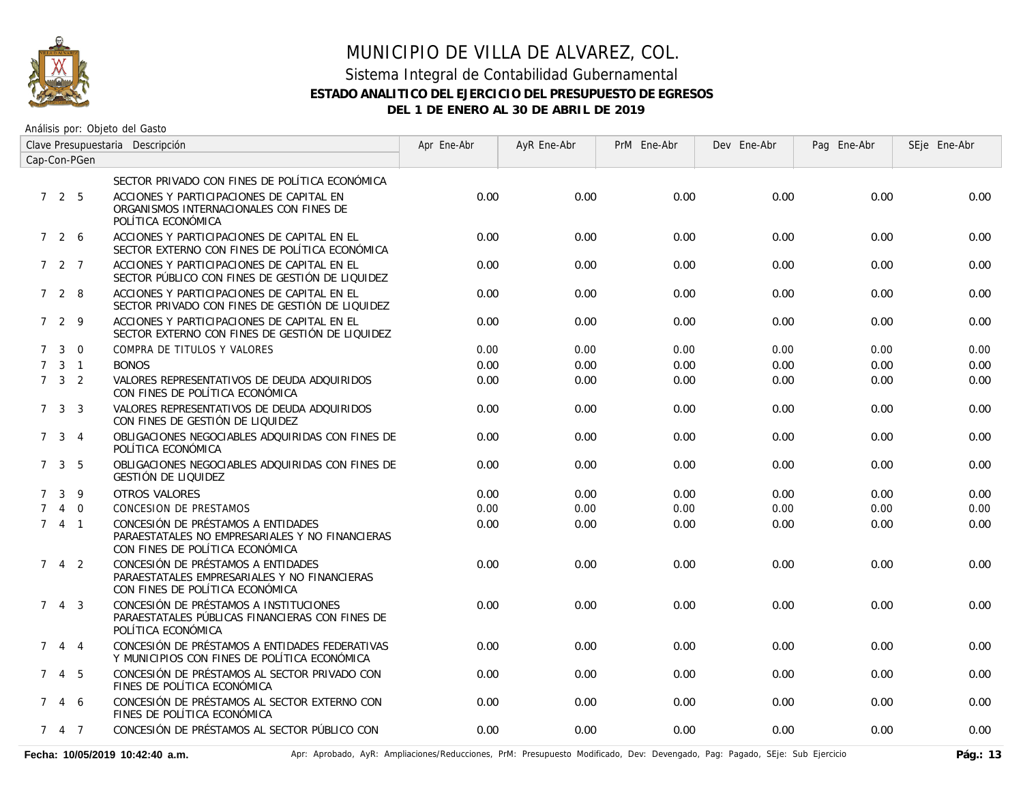

#### Sistema Integral de Contabilidad Gubernamental **ESTADO ANALITICO DEL EJERCICIO DEL PRESUPUESTO DE EGRESOS DEL 1 DE ENERO AL 30 DE ABRIL DE 2019**

| Clave Presupuestaria Descripción |                     |                |                                                                                                                          | Apr Ene-Abr | AyR Ene-Abr | PrM Ene-Abr | Dev Ene-Abr | Pag Ene-Abr | SEje Ene-Abr |
|----------------------------------|---------------------|----------------|--------------------------------------------------------------------------------------------------------------------------|-------------|-------------|-------------|-------------|-------------|--------------|
| Cap-Con-PGen                     |                     |                |                                                                                                                          |             |             |             |             |             |              |
|                                  |                     |                | SECTOR PRIVADO CON FINES DE POLÍTICA ECONÓMICA                                                                           |             |             |             |             |             |              |
|                                  | 725                 |                | ACCIONES Y PARTICIPACIONES DE CAPITAL EN<br>ORGANISMOS INTERNACIONALES CON FINES DE<br>POLÍTICA ECONÓMICA                | 0.00        | 0.00        | 0.00        | 0.00        | 0.00        | 0.00         |
|                                  | 7 2 6               |                | ACCIONES Y PARTICIPACIONES DE CAPITAL EN EL<br>SECTOR EXTERNO CON FINES DE POLÍTICA ECONÓMICA                            | 0.00        | 0.00        | 0.00        | 0.00        | 0.00        | 0.00         |
|                                  | $727$               |                | ACCIONES Y PARTICIPACIONES DE CAPITAL EN EL<br>SECTOR PÚBLICO CON FINES DE GESTIÓN DE LIQUIDEZ                           | 0.00        | 0.00        | 0.00        | 0.00        | 0.00        | 0.00         |
|                                  | 728                 |                | ACCIONES Y PARTICIPACIONES DE CAPITAL EN EL<br>SECTOR PRIVADO CON FINES DE GESTIÓN DE LIQUIDEZ                           | 0.00        | 0.00        | 0.00        | 0.00        | 0.00        | 0.00         |
|                                  | 7 2 9               |                | ACCIONES Y PARTICIPACIONES DE CAPITAL EN EL<br>SECTOR EXTERNO CON FINES DE GESTIÓN DE LIQUIDEZ                           | 0.00        | 0.00        | 0.00        | 0.00        | 0.00        | 0.00         |
| $7^{\circ}$                      | $\mathbf{3}$        | $\Omega$       | COMPRA DE TITULOS Y VALORES                                                                                              | 0.00        | 0.00        | 0.00        | 0.00        | 0.00        | 0.00         |
| $7^{\circ}$                      |                     | $3 \quad 1$    | <b>BONOS</b>                                                                                                             | 0.00        | 0.00        | 0.00        | 0.00        | 0.00        | 0.00         |
|                                  | $7 \quad 3 \quad 2$ |                | VALORES REPRESENTATIVOS DE DEUDA ADQUIRIDOS<br>CON FINES DE POLÍTICA ECONÓMICA                                           | 0.00        | 0.00        | 0.00        | 0.00        | 0.00        | 0.00         |
|                                  | $7 \quad 3 \quad 3$ |                | VALORES REPRESENTATIVOS DE DEUDA ADQUIRIDOS<br>CON FINES DE GESTIÓN DE LIQUIDEZ                                          | 0.00        | 0.00        | 0.00        | 0.00        | 0.00        | 0.00         |
|                                  | 7 <sup>3</sup>      | $\overline{4}$ | OBLIGACIONES NEGOCIABLES ADQUIRIDAS CON FINES DE<br>POLÍTICA ECONÓMICA                                                   | 0.00        | 0.00        | 0.00        | 0.00        | 0.00        | 0.00         |
|                                  | $7 \quad 3 \quad 5$ |                | OBLIGACIONES NEGOCIABLES ADQUIRIDAS CON FINES DE<br>GESTIÓN DE LIQUIDEZ                                                  | 0.00        | 0.00        | 0.00        | 0.00        | 0.00        | 0.00         |
| $7^{\circ}$                      | 3                   | 9              | <b>OTROS VALORES</b>                                                                                                     | 0.00        | 0.00        | 0.00        | 0.00        | 0.00        | 0.00         |
| $7^{\circ}$                      |                     | $4\quad 0$     | <b>CONCESION DE PRESTAMOS</b>                                                                                            | 0.00        | 0.00        | 0.00        | 0.00        | 0.00        | 0.00         |
|                                  | $741$               |                | CONCESIÓN DE PRÉSTAMOS A ENTIDADES<br>PARAESTATALES NO EMPRESARIALES Y NO FINANCIERAS<br>CON FINES DE POLÍTICA ECONÓMICA | 0.00        | 0.00        | 0.00        | 0.00        | 0.00        | 0.00         |
| $7^{\circ}$                      |                     | 4 2            | CONCESIÓN DE PRÉSTAMOS A ENTIDADES<br>PARAESTATALES EMPRESARIALES Y NO FINANCIERAS<br>CON FINES DE POLÍTICA ECONÓMICA    | 0.00        | 0.00        | 0.00        | 0.00        | 0.00        | 0.00         |
|                                  | $7 \t4 \t3$         |                | CONCESIÓN DE PRÉSTAMOS A INSTITUCIONES<br>PARAESTATALES PÚBLICAS FINANCIERAS CON FINES DE<br>POLÍTICA ECONÓMICA          | 0.00        | 0.00        | 0.00        | 0.00        | 0.00        | 0.00         |
| $7^{\circ}$                      | $\overline{4}$      | $\overline{4}$ | CONCESIÓN DE PRÉSTAMOS A ENTIDADES FEDERATIVAS<br>Y MUNICIPIOS CON FINES DE POLÍTICA ECONÓMICA                           | 0.00        | 0.00        | 0.00        | 0.00        | 0.00        | 0.00         |
|                                  | 7 4 5               |                | CONCESIÓN DE PRÉSTAMOS AL SECTOR PRIVADO CON<br>FINES DE POLÍTICA ECONÓMICA                                              | 0.00        | 0.00        | 0.00        | 0.00        | 0.00        | 0.00         |
| $7^{\circ}$                      |                     | 4 6            | CONCESIÓN DE PRÉSTAMOS AL SECTOR EXTERNO CON<br>FINES DE POLÍTICA ECONÓMICA                                              | 0.00        | 0.00        | 0.00        | 0.00        | 0.00        | 0.00         |
|                                  | 7 4 7               |                | CONCESIÓN DE PRÉSTAMOS AL SECTOR PÚBLICO CON                                                                             | 0.00        | 0.00        | 0.00        | 0.00        | 0.00        | 0.00         |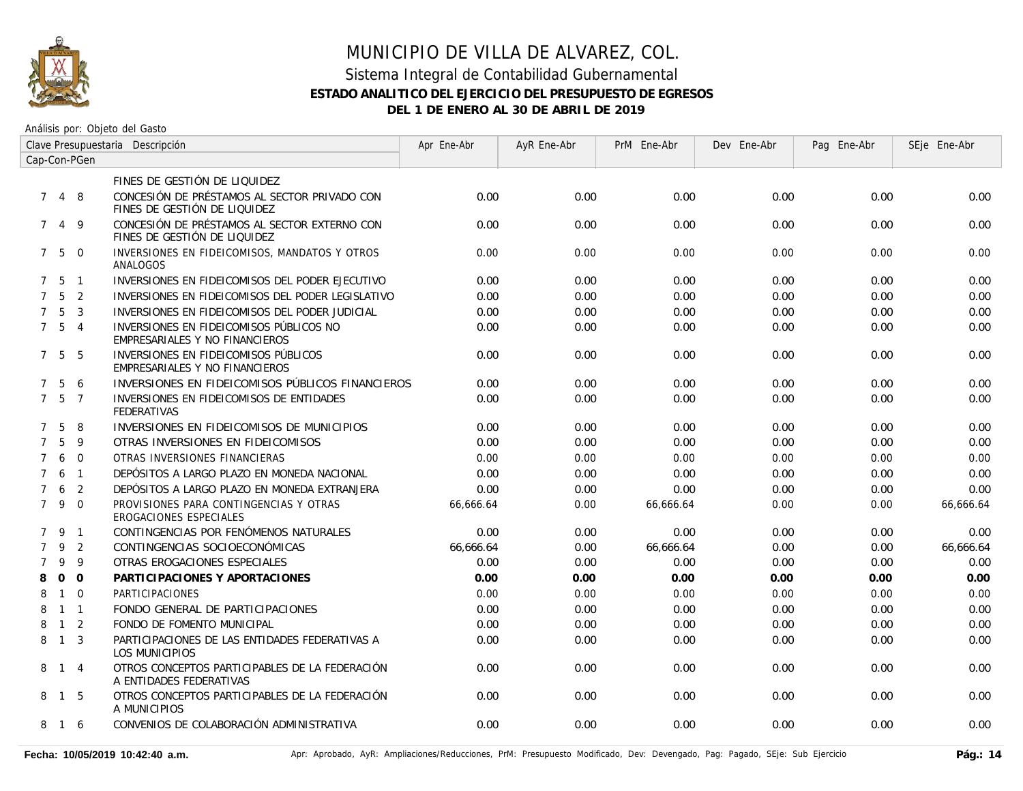

#### Sistema Integral de Contabilidad Gubernamental **ESTADO ANALITICO DEL EJERCICIO DEL PRESUPUESTO DE EGRESOS DEL 1 DE ENERO AL 30 DE ABRIL DE 2019**

| Clave Presupuestaria Descripción |                   |                |                                                                              | Apr Ene-Abr | AyR Ene-Abr | PrM Ene-Abr | Dev Ene-Abr | Pag Ene-Abr | SEje Ene-Abr |
|----------------------------------|-------------------|----------------|------------------------------------------------------------------------------|-------------|-------------|-------------|-------------|-------------|--------------|
| Cap-Con-PGen                     |                   |                |                                                                              |             |             |             |             |             |              |
|                                  |                   |                | FINES DE GESTIÓN DE LIQUIDEZ                                                 |             |             |             |             |             |              |
| $7^{\circ}$                      | $\overline{4}$    | 8              | CONCESIÓN DE PRÉSTAMOS AL SECTOR PRIVADO CON<br>FINES DE GESTIÓN DE LIQUIDEZ | 0.00        | 0.00        | 0.00        | 0.00        | 0.00        | 0.00         |
| $7^{\circ}$                      | $\overline{4}$    | 9              | CONCESIÓN DE PRÉSTAMOS AL SECTOR EXTERNO CON<br>FINES DE GESTIÓN DE LIQUIDEZ | 0.00        | 0.00        | 0.00        | 0.00        | 0.00        | 0.00         |
|                                  | $7\quad 5\quad 0$ |                | INVERSIONES EN FIDEICOMISOS, MANDATOS Y OTROS<br>ANALOGOS                    | 0.00        | 0.00        | 0.00        | 0.00        | 0.00        | 0.00         |
|                                  | $7\quad 5\quad 1$ |                | INVERSIONES EN FIDEICOMISOS DEL PODER EJECUTIVO                              | 0.00        | 0.00        | 0.00        | 0.00        | 0.00        | 0.00         |
|                                  | $7\quad 5\quad 2$ |                | INVERSIONES EN FIDEICOMISOS DEL PODER LEGISLATIVO                            | 0.00        | 0.00        | 0.00        | 0.00        | 0.00        | 0.00         |
| $\overline{7}$                   | 5                 | $\overline{3}$ | INVERSIONES EN FIDEICOMISOS DEL PODER JUDICIAL                               | 0.00        | 0.00        | 0.00        | 0.00        | 0.00        | 0.00         |
|                                  | 7 <sub>5</sub>    | $\overline{4}$ | INVERSIONES EN FIDEICOMISOS PÚBLICOS NO<br>EMPRESARIALES Y NO FINANCIEROS    | 0.00        | 0.00        | 0.00        | 0.00        | 0.00        | 0.00         |
|                                  | 7 5               | - 5            | INVERSIONES EN FIDEICOMISOS PÚBLICOS<br>EMPRESARIALES Y NO FINANCIEROS       | 0.00        | 0.00        | 0.00        | 0.00        | 0.00        | 0.00         |
| $7^{\circ}$                      | -5                | 6              | INVERSIONES EN FIDEICOMISOS PÚBLICOS FINANCIEROS                             | 0.00        | 0.00        | 0.00        | 0.00        | 0.00        | 0.00         |
| $7^{\circ}$                      | - 5               | $\overline{7}$ | INVERSIONES EN FIDEICOMISOS DE ENTIDADES<br><b>FEDERATIVAS</b>               | 0.00        | 0.00        | 0.00        | 0.00        | 0.00        | 0.00         |
| $\overline{7}$                   | 5                 | 8              | INVERSIONES EN FIDEICOMISOS DE MUNICIPIOS                                    | 0.00        | 0.00        | 0.00        | 0.00        | 0.00        | 0.00         |
| $\overline{7}$                   | 5                 | 9              | OTRAS INVERSIONES EN FIDEICOMISOS                                            | 0.00        | 0.00        | 0.00        | 0.00        | 0.00        | 0.00         |
| $\overline{7}$                   | 6                 | $\Omega$       | OTRAS INVERSIONES FINANCIERAS                                                | 0.00        | 0.00        | 0.00        | 0.00        | 0.00        | 0.00         |
| $\overline{7}$                   | 6                 | $\overline{1}$ | DEPÓSITOS A LARGO PLAZO EN MONEDA NACIONAL                                   | 0.00        | 0.00        | 0.00        | 0.00        | 0.00        | 0.00         |
| $\overline{7}$                   | 6                 | 2              | DEPÓSITOS A LARGO PLAZO EN MONEDA EXTRANJERA                                 | 0.00        | 0.00        | 0.00        | 0.00        | 0.00        | 0.00         |
| $7^{\circ}$                      | 9                 | $\Omega$       | PROVISIONES PARA CONTINGENCIAS Y OTRAS<br>EROGACIONES ESPECIALES             | 66,666.64   | 0.00        | 66,666.64   | 0.00        | 0.00        | 66,666.64    |
|                                  | 79                | $\overline{1}$ | CONTINGENCIAS POR FENÓMENOS NATURALES                                        | 0.00        | 0.00        | 0.00        | 0.00        | 0.00        | 0.00         |
| $\overline{7}$                   | 9                 | $\overline{2}$ | CONTINGENCIAS SOCIOECONÓMICAS                                                | 66,666.64   | 0.00        | 66,666.64   | 0.00        | 0.00        | 66,666.64    |
| $\overline{7}$                   | 9                 | 9              | OTRAS EROGACIONES ESPECIALES                                                 | 0.00        | 0.00        | 0.00        | 0.00        | 0.00        | 0.00         |
| 8                                | $\mathbf{O}$      | $\overline{0}$ | PARTICIPACIONES Y APORTACIONES                                               | 0.00        | 0.00        | 0.00        | 0.00        | 0.00        | 0.00         |
| 8                                | $\mathbf{1}$      | $\Omega$       | PARTICIPACIONES                                                              | 0.00        | 0.00        | 0.00        | 0.00        | 0.00        | 0.00         |
| 8                                |                   | $1 \quad 1$    | FONDO GENERAL DE PARTICIPACIONES                                             | 0.00        | 0.00        | 0.00        | 0.00        | 0.00        | 0.00         |
| 8                                | $\overline{1}$    | 2              | FONDO DE FOMENTO MUNICIPAL                                                   | 0.00        | 0.00        | 0.00        | 0.00        | 0.00        | 0.00         |
| 8                                | $\overline{1}$    | $\overline{3}$ | PARTICIPACIONES DE LAS ENTIDADES FEDERATIVAS A<br><b>LOS MUNICIPIOS</b>      | 0.00        | 0.00        | 0.00        | 0.00        | 0.00        | 0.00         |
|                                  | 8 1 4             |                | OTROS CONCEPTOS PARTICIPABLES DE LA FEDERACIÓN<br>A ENTIDADES FEDERATIVAS    | 0.00        | 0.00        | 0.00        | 0.00        | 0.00        | 0.00         |
|                                  | 8 1               | -5             | OTROS CONCEPTOS PARTICIPABLES DE LA FEDERACIÓN<br>A MUNICIPIOS               | 0.00        | 0.00        | 0.00        | 0.00        | 0.00        | 0.00         |
| 8                                | $\overline{1}$    | -6             | CONVENIOS DE COLABORACIÓN ADMINISTRATIVA                                     | 0.00        | 0.00        | 0.00        | 0.00        | 0.00        | 0.00         |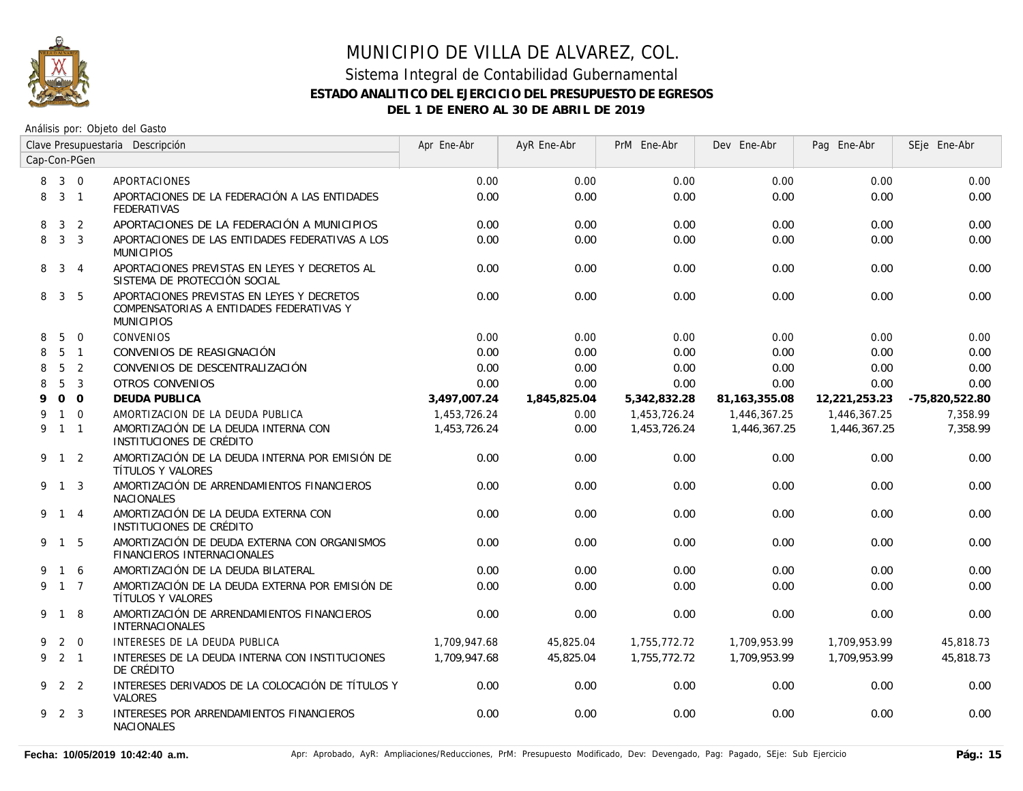

# MUNICIPIO DE VILLA DE ALVAREZ, COL. Sistema Integral de Contabilidad Gubernamental **ESTADO ANALITICO DEL EJERCICIO DEL PRESUPUESTO DE EGRESOS**

**DEL 1 DE ENERO AL 30 DE ABRIL DE 2019**

| Clave Presupuestaria Descripción |                 |                |                                                                                                             | Apr Ene-Abr  | AyR Ene-Abr  | PrM Ene-Abr  | Dev Ene-Abr     | Pag Ene-Abr   | SEje Ene-Abr   |
|----------------------------------|-----------------|----------------|-------------------------------------------------------------------------------------------------------------|--------------|--------------|--------------|-----------------|---------------|----------------|
| Cap-Con-PGen                     |                 |                |                                                                                                             |              |              |              |                 |               |                |
| 8                                | $3 \quad 0$     |                | <b>APORTACIONES</b>                                                                                         | 0.00         | 0.00         | 0.00         | 0.00            | 0.00          | 0.00           |
| 8                                |                 | 3 <sub>1</sub> | APORTACIONES DE LA FEDERACIÓN A LAS ENTIDADES<br><b>FEDERATIVAS</b>                                         | 0.00         | 0.00         | 0.00         | 0.00            | 0.00          | 0.00           |
| 8                                | $\mathbf{3}$    | $\overline{2}$ | APORTACIONES DE LA FEDERACIÓN A MUNICIPIOS                                                                  | 0.00         | 0.00         | 0.00         | 0.00            | 0.00          | 0.00           |
| 8                                |                 | 3 <sup>3</sup> | APORTACIONES DE LAS ENTIDADES FEDERATIVAS A LOS<br><b>MUNICIPIOS</b>                                        | 0.00         | 0.00         | 0.00         | 0.00            | 0.00          | 0.00           |
| 8                                |                 | $3 \quad 4$    | APORTACIONES PREVISTAS EN LEYES Y DECRETOS AL<br>SISTEMA DE PROTECCIÓN SOCIAL                               | 0.00         | 0.00         | 0.00         | 0.00            | 0.00          | 0.00           |
| 8                                |                 | 3 <sub>5</sub> | APORTACIONES PREVISTAS EN LEYES Y DECRETOS<br>COMPENSATORIAS A ENTIDADES FEDERATIVAS Y<br><b>MUNICIPIOS</b> | 0.00         | 0.00         | 0.00         | 0.00            | 0.00          | 0.00           |
| 8                                | 5               | $\overline{0}$ | CONVENIOS                                                                                                   | 0.00         | 0.00         | 0.00         | 0.00            | 0.00          | 0.00           |
| 8                                |                 | 5 <sub>1</sub> | CONVENIOS DE REASIGNACIÓN                                                                                   | 0.00         | 0.00         | 0.00         | 0.00            | 0.00          | 0.00           |
| 8                                | $5\overline{)}$ | $\overline{2}$ | CONVENIOS DE DESCENTRALIZACIÓN                                                                              | 0.00         | 0.00         | 0.00         | 0.00            | 0.00          | 0.00           |
| 8                                | 5               | $\overline{3}$ | <b>OTROS CONVENIOS</b>                                                                                      | 0.00         | 0.00         | 0.00         | 0.00            | 0.00          | 0.00           |
| 9                                |                 | 0 <sub>0</sub> | DEUDA PUBLICA                                                                                               | 3,497,007.24 | 1,845,825.04 | 5,342,832.28 | 81, 163, 355.08 | 12,221,253.23 | -75,820,522.80 |
| 9                                |                 | $1\quad 0$     | AMORTIZACION DE LA DEUDA PUBLICA                                                                            | 1,453,726.24 | 0.00         | 1,453,726.24 | 1,446,367.25    | 1,446,367.25  | 7,358.99       |
| 9                                | $1 \quad 1$     |                | AMORTIZACIÓN DE LA DEUDA INTERNA CON<br>INSTITUCIONES DE CRÉDITO                                            | 1,453,726.24 | 0.00         | 1,453,726.24 | 1,446,367.25    | 1,446,367.25  | 7.358.99       |
|                                  | 9 1 2           |                | AMORTIZACIÓN DE LA DEUDA INTERNA POR EMISIÓN DE<br>TÍTULOS Y VALORES                                        | 0.00         | 0.00         | 0.00         | 0.00            | 0.00          | 0.00           |
|                                  | 9 1 3           |                | AMORTIZACIÓN DE ARRENDAMIENTOS FINANCIEROS<br><b>NACIONALES</b>                                             | 0.00         | 0.00         | 0.00         | 0.00            | 0.00          | 0.00           |
|                                  | 9 1 4           |                | AMORTIZACIÓN DE LA DEUDA EXTERNA CON<br>INSTITUCIONES DE CRÉDITO                                            | 0.00         | 0.00         | 0.00         | 0.00            | 0.00          | 0.00           |
|                                  | 9 1 5           |                | AMORTIZACIÓN DE DEUDA EXTERNA CON ORGANISMOS<br>FINANCIEROS INTERNACIONALES                                 | 0.00         | 0.00         | 0.00         | 0.00            | 0.00          | 0.00           |
| 9                                |                 | 1 6            | AMORTIZACIÓN DE LA DEUDA BILATERAL                                                                          | 0.00         | 0.00         | 0.00         | 0.00            | 0.00          | 0.00           |
|                                  | 9 1 7           |                | AMORTIZACIÓN DE LA DEUDA EXTERNA POR EMISIÓN DE<br>TÍTULOS Y VALORES                                        | 0.00         | 0.00         | 0.00         | 0.00            | 0.00          | 0.00           |
|                                  | 9 1             | 8              | AMORTIZACIÓN DE ARRENDAMIENTOS FINANCIEROS<br><b>INTERNACIONALES</b>                                        | 0.00         | 0.00         | 0.00         | 0.00            | 0.00          | 0.00           |
| 9                                |                 | 2 0            | INTERESES DE LA DEUDA PUBLICA                                                                               | 1,709,947.68 | 45,825.04    | 1,755,772.72 | 1,709,953.99    | 1,709,953.99  | 45,818.73      |
|                                  | $9$ 2 1         |                | INTERESES DE LA DEUDA INTERNA CON INSTITUCIONES<br>DE CRÉDITO                                               | 1,709,947.68 | 45,825.04    | 1,755,772.72 | 1,709,953.99    | 1,709,953.99  | 45,818.73      |
|                                  | 9 2 2           |                | INTERESES DERIVADOS DE LA COLOCACIÓN DE TÍTULOS Y<br><b>VALORES</b>                                         | 0.00         | 0.00         | 0.00         | 0.00            | 0.00          | 0.00           |
|                                  | 9 2 3           |                | INTERESES POR ARRENDAMIENTOS FINANCIEROS<br><b>NACIONALES</b>                                               | 0.00         | 0.00         | 0.00         | 0.00            | 0.00          | 0.00           |